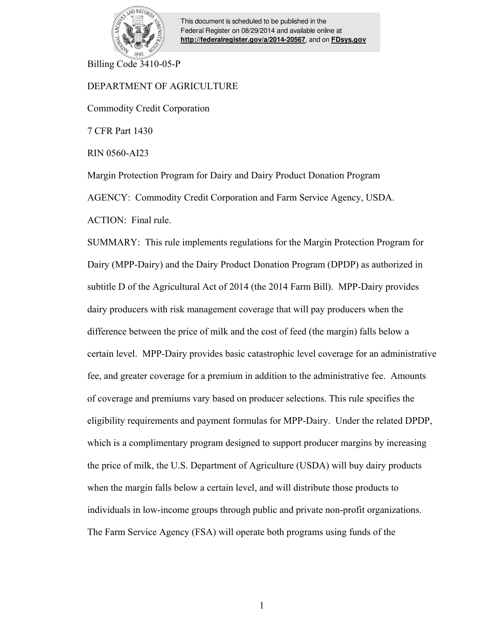

This document is scheduled to be published in the Federal Register on 08/29/2014 and available online at **<http://federalregister.gov/a/2014-20567>**, and on **[FDsys.gov](http://federalregister.gov/a/2014-20567.pdf)**

Billing Code 3410-05-P

# DEPARTMENT OF AGRICULTURE

Commodity Credit Corporation

7 CFR Part 1430

RIN 0560-AI23

Margin Protection Program for Dairy and Dairy Product Donation Program

AGENCY: Commodity Credit Corporation and Farm Service Agency, USDA.

ACTION: Final rule.

SUMMARY: This rule implements regulations for the Margin Protection Program for Dairy (MPP-Dairy) and the Dairy Product Donation Program (DPDP) as authorized in subtitle D of the Agricultural Act of 2014 (the 2014 Farm Bill). MPP-Dairy provides dairy producers with risk management coverage that will pay producers when the difference between the price of milk and the cost of feed (the margin) falls below a certain level. MPP-Dairy provides basic catastrophic level coverage for an administrative fee, and greater coverage for a premium in addition to the administrative fee. Amounts of coverage and premiums vary based on producer selections. This rule specifies the eligibility requirements and payment formulas for MPP-Dairy. Under the related DPDP, which is a complimentary program designed to support producer margins by increasing the price of milk, the U.S. Department of Agriculture (USDA) will buy dairy products when the margin falls below a certain level, and will distribute those products to individuals in low-income groups through public and private non-profit organizations. The Farm Service Agency (FSA) will operate both programs using funds of the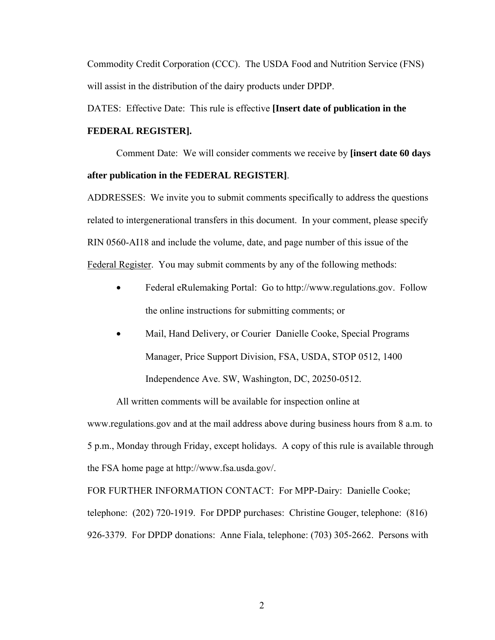Commodity Credit Corporation (CCC). The USDA Food and Nutrition Service (FNS) will assist in the distribution of the dairy products under DPDP.

DATES: Effective Date: This rule is effective **[Insert date of publication in the FEDERAL REGISTER].** 

Comment Date: We will consider comments we receive by **[insert date 60 days after publication in the FEDERAL REGISTER]**.

ADDRESSES: We invite you to submit comments specifically to address the questions related to intergenerational transfers in this document. In your comment, please specify RIN 0560-AI18 and include the volume, date, and page number of this issue of the Federal Register. You may submit comments by any of the following methods:

- Federal eRulemaking Portal: Go to http://www.regulations.gov. Follow the online instructions for submitting comments; or
- Mail, Hand Delivery, or Courier Danielle Cooke, Special Programs Manager, Price Support Division, FSA, USDA, STOP 0512, 1400 Independence Ave. SW, Washington, DC, 20250-0512.

All written comments will be available for inspection online at www.regulations.gov and at the mail address above during business hours from 8 a.m. to 5 p.m., Monday through Friday, except holidays. A copy of this rule is available through the FSA home page at http://www.fsa.usda.gov/.

FOR FURTHER INFORMATION CONTACT: For MPP-Dairy: Danielle Cooke; telephone: (202) 720-1919. For DPDP purchases: Christine Gouger, telephone: (816) 926-3379. For DPDP donations: Anne Fiala, telephone: (703) 305-2662. Persons with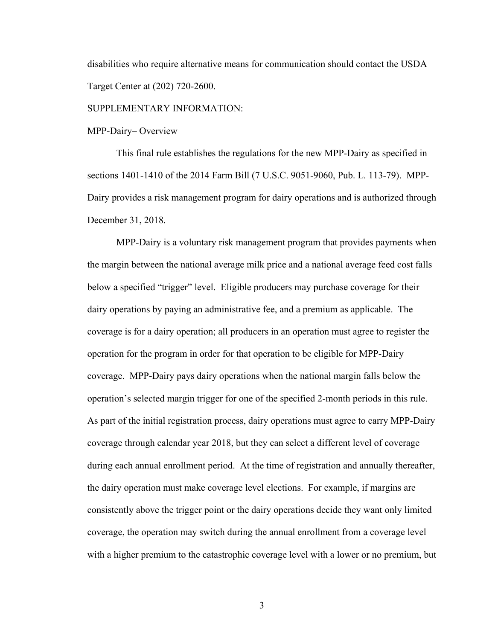disabilities who require alternative means for communication should contact the USDA Target Center at (202) 720-2600.

SUPPLEMENTARY INFORMATION:

MPP-Dairy– Overview

This final rule establishes the regulations for the new MPP-Dairy as specified in sections 1401-1410 of the 2014 Farm Bill (7 U.S.C. 9051-9060, Pub. L. 113-79). MPP-Dairy provides a risk management program for dairy operations and is authorized through December 31, 2018.

MPP-Dairy is a voluntary risk management program that provides payments when the margin between the national average milk price and a national average feed cost falls below a specified "trigger" level. Eligible producers may purchase coverage for their dairy operations by paying an administrative fee, and a premium as applicable. The coverage is for a dairy operation; all producers in an operation must agree to register the operation for the program in order for that operation to be eligible for MPP-Dairy coverage. MPP-Dairy pays dairy operations when the national margin falls below the operation's selected margin trigger for one of the specified 2-month periods in this rule. As part of the initial registration process, dairy operations must agree to carry MPP-Dairy coverage through calendar year 2018, but they can select a different level of coverage during each annual enrollment period. At the time of registration and annually thereafter, the dairy operation must make coverage level elections. For example, if margins are consistently above the trigger point or the dairy operations decide they want only limited coverage, the operation may switch during the annual enrollment from a coverage level with a higher premium to the catastrophic coverage level with a lower or no premium, but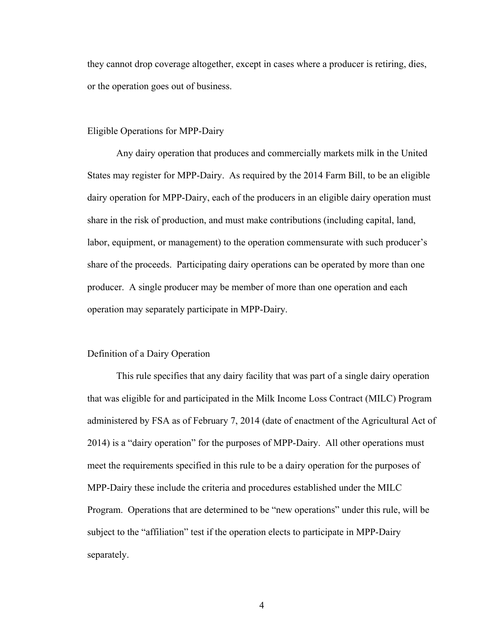they cannot drop coverage altogether, except in cases where a producer is retiring, dies, or the operation goes out of business.

### Eligible Operations for MPP-Dairy

 Any dairy operation that produces and commercially markets milk in the United States may register for MPP-Dairy. As required by the 2014 Farm Bill, to be an eligible dairy operation for MPP-Dairy, each of the producers in an eligible dairy operation must share in the risk of production, and must make contributions (including capital, land, labor, equipment, or management) to the operation commensurate with such producer's share of the proceeds. Participating dairy operations can be operated by more than one producer. A single producer may be member of more than one operation and each operation may separately participate in MPP-Dairy.

# Definition of a Dairy Operation

This rule specifies that any dairy facility that was part of a single dairy operation that was eligible for and participated in the Milk Income Loss Contract (MILC) Program administered by FSA as of February 7, 2014 (date of enactment of the Agricultural Act of 2014) is a "dairy operation" for the purposes of MPP-Dairy. All other operations must meet the requirements specified in this rule to be a dairy operation for the purposes of MPP-Dairy these include the criteria and procedures established under the MILC Program. Operations that are determined to be "new operations" under this rule, will be subject to the "affiliation" test if the operation elects to participate in MPP-Dairy separately.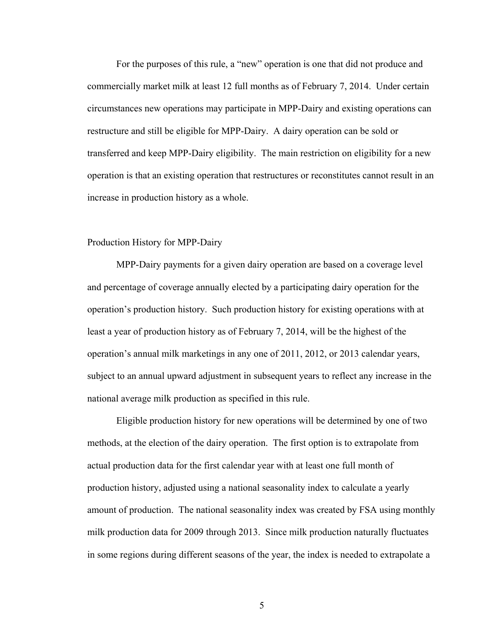For the purposes of this rule, a "new" operation is one that did not produce and commercially market milk at least 12 full months as of February 7, 2014. Under certain circumstances new operations may participate in MPP-Dairy and existing operations can restructure and still be eligible for MPP-Dairy. A dairy operation can be sold or transferred and keep MPP-Dairy eligibility. The main restriction on eligibility for a new operation is that an existing operation that restructures or reconstitutes cannot result in an increase in production history as a whole.

# Production History for MPP-Dairy

 MPP-Dairy payments for a given dairy operation are based on a coverage level and percentage of coverage annually elected by a participating dairy operation for the operation's production history. Such production history for existing operations with at least a year of production history as of February 7, 2014, will be the highest of the operation's annual milk marketings in any one of 2011, 2012, or 2013 calendar years, subject to an annual upward adjustment in subsequent years to reflect any increase in the national average milk production as specified in this rule.

 Eligible production history for new operations will be determined by one of two methods, at the election of the dairy operation. The first option is to extrapolate from actual production data for the first calendar year with at least one full month of production history, adjusted using a national seasonality index to calculate a yearly amount of production. The national seasonality index was created by FSA using monthly milk production data for 2009 through 2013. Since milk production naturally fluctuates in some regions during different seasons of the year, the index is needed to extrapolate a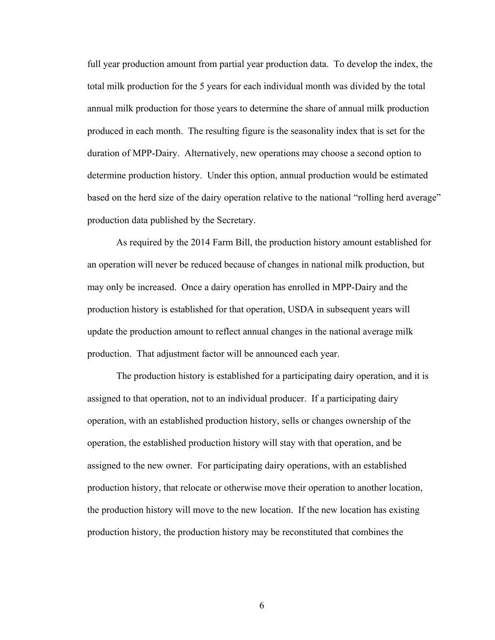full year production amount from partial year production data. To develop the index, the total milk production for the 5 years for each individual month was divided by the total annual milk production for those years to determine the share of annual milk production produced in each month. The resulting figure is the seasonality index that is set for the duration of MPP-Dairy. Alternatively, new operations may choose a second option to determine production history. Under this option, annual production would be estimated based on the herd size of the dairy operation relative to the national "rolling herd average" production data published by the Secretary.

As required by the 2014 Farm Bill, the production history amount established for an operation will never be reduced because of changes in national milk production, but may only be increased. Once a dairy operation has enrolled in MPP-Dairy and the production history is established for that operation, USDA in subsequent years will update the production amount to reflect annual changes in the national average milk production. That adjustment factor will be announced each year.

The production history is established for a participating dairy operation, and it is assigned to that operation, not to an individual producer. If a participating dairy operation, with an established production history, sells or changes ownership of the operation, the established production history will stay with that operation, and be assigned to the new owner. For participating dairy operations, with an established production history, that relocate or otherwise move their operation to another location, the production history will move to the new location. If the new location has existing production history, the production history may be reconstituted that combines the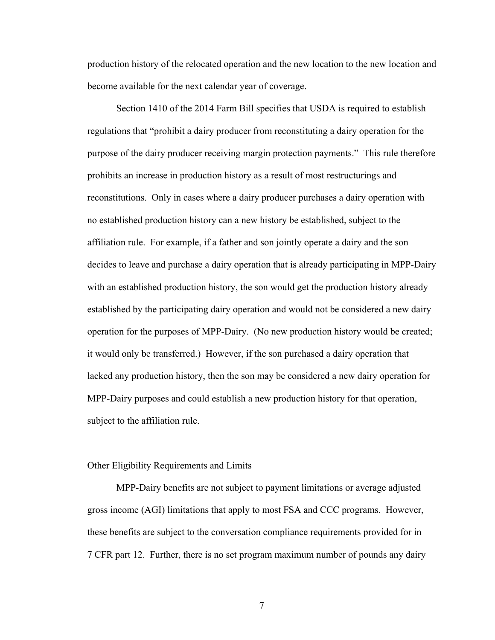production history of the relocated operation and the new location to the new location and become available for the next calendar year of coverage.

Section 1410 of the 2014 Farm Bill specifies that USDA is required to establish regulations that "prohibit a dairy producer from reconstituting a dairy operation for the purpose of the dairy producer receiving margin protection payments." This rule therefore prohibits an increase in production history as a result of most restructurings and reconstitutions. Only in cases where a dairy producer purchases a dairy operation with no established production history can a new history be established, subject to the affiliation rule. For example, if a father and son jointly operate a dairy and the son decides to leave and purchase a dairy operation that is already participating in MPP-Dairy with an established production history, the son would get the production history already established by the participating dairy operation and would not be considered a new dairy operation for the purposes of MPP-Dairy. (No new production history would be created; it would only be transferred.) However, if the son purchased a dairy operation that lacked any production history, then the son may be considered a new dairy operation for MPP-Dairy purposes and could establish a new production history for that operation, subject to the affiliation rule.

### Other Eligibility Requirements and Limits

 MPP-Dairy benefits are not subject to payment limitations or average adjusted gross income (AGI) limitations that apply to most FSA and CCC programs. However, these benefits are subject to the conversation compliance requirements provided for in 7 CFR part 12. Further, there is no set program maximum number of pounds any dairy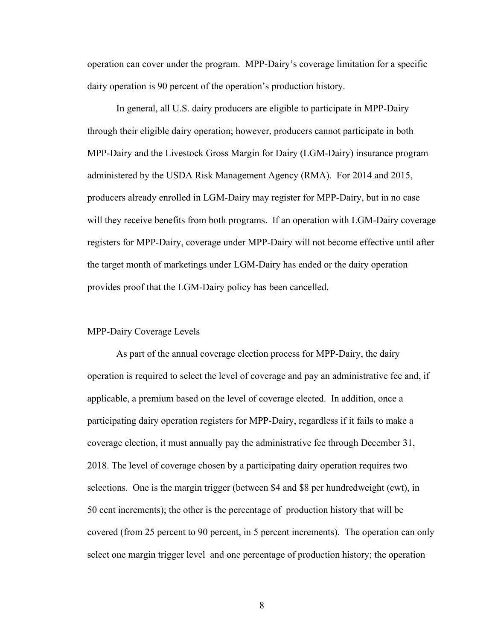operation can cover under the program. MPP-Dairy's coverage limitation for a specific dairy operation is 90 percent of the operation's production history.

 In general, all U.S. dairy producers are eligible to participate in MPP-Dairy through their eligible dairy operation; however, producers cannot participate in both MPP-Dairy and the Livestock Gross Margin for Dairy (LGM-Dairy) insurance program administered by the USDA Risk Management Agency (RMA). For 2014 and 2015, producers already enrolled in LGM-Dairy may register for MPP-Dairy, but in no case will they receive benefits from both programs. If an operation with LGM-Dairy coverage registers for MPP-Dairy, coverage under MPP-Dairy will not become effective until after the target month of marketings under LGM-Dairy has ended or the dairy operation provides proof that the LGM-Dairy policy has been cancelled.

# MPP-Dairy Coverage Levels

As part of the annual coverage election process for MPP-Dairy, the dairy operation is required to select the level of coverage and pay an administrative fee and, if applicable, a premium based on the level of coverage elected. In addition, once a participating dairy operation registers for MPP-Dairy, regardless if it fails to make a coverage election, it must annually pay the administrative fee through December 31, 2018. The level of coverage chosen by a participating dairy operation requires two selections. One is the margin trigger (between \$4 and \$8 per hundredweight (cwt), in 50 cent increments); the other is the percentage of production history that will be covered (from 25 percent to 90 percent, in 5 percent increments). The operation can only select one margin trigger level and one percentage of production history; the operation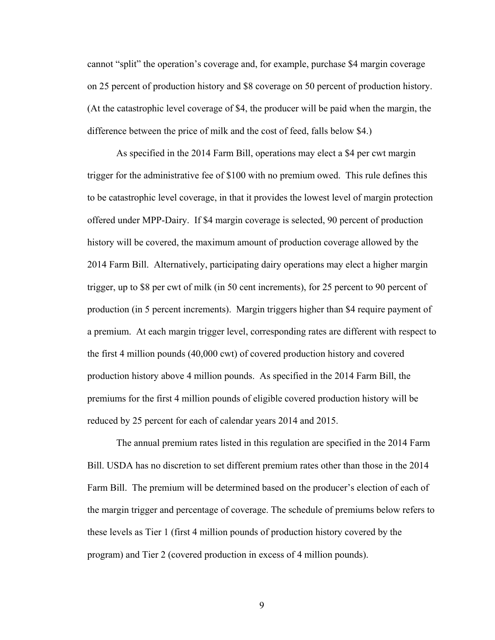cannot "split" the operation's coverage and, for example, purchase \$4 margin coverage on 25 percent of production history and \$8 coverage on 50 percent of production history. (At the catastrophic level coverage of \$4, the producer will be paid when the margin, the difference between the price of milk and the cost of feed, falls below \$4.)

As specified in the 2014 Farm Bill, operations may elect a \$4 per cwt margin trigger for the administrative fee of \$100 with no premium owed. This rule defines this to be catastrophic level coverage, in that it provides the lowest level of margin protection offered under MPP-Dairy. If \$4 margin coverage is selected, 90 percent of production history will be covered, the maximum amount of production coverage allowed by the 2014 Farm Bill. Alternatively, participating dairy operations may elect a higher margin trigger, up to \$8 per cwt of milk (in 50 cent increments), for 25 percent to 90 percent of production (in 5 percent increments). Margin triggers higher than \$4 require payment of a premium. At each margin trigger level, corresponding rates are different with respect to the first 4 million pounds (40,000 cwt) of covered production history and covered production history above 4 million pounds. As specified in the 2014 Farm Bill, the premiums for the first 4 million pounds of eligible covered production history will be reduced by 25 percent for each of calendar years 2014 and 2015.

 The annual premium rates listed in this regulation are specified in the 2014 Farm Bill. USDA has no discretion to set different premium rates other than those in the 2014 Farm Bill. The premium will be determined based on the producer's election of each of the margin trigger and percentage of coverage. The schedule of premiums below refers to these levels as Tier 1 (first 4 million pounds of production history covered by the program) and Tier 2 (covered production in excess of 4 million pounds).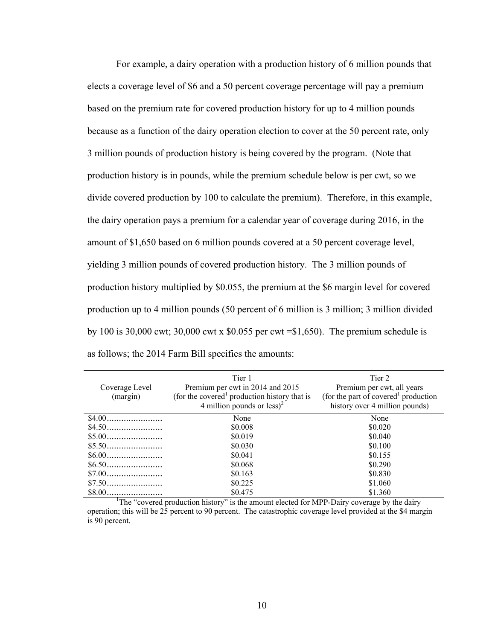For example, a dairy operation with a production history of 6 million pounds that elects a coverage level of \$6 and a 50 percent coverage percentage will pay a premium based on the premium rate for covered production history for up to 4 million pounds because as a function of the dairy operation election to cover at the 50 percent rate, only 3 million pounds of production history is being covered by the program. (Note that production history is in pounds, while the premium schedule below is per cwt, so we divide covered production by 100 to calculate the premium). Therefore, in this example, the dairy operation pays a premium for a calendar year of coverage during 2016, in the amount of \$1,650 based on 6 million pounds covered at a 50 percent coverage level, yielding 3 million pounds of covered production history. The 3 million pounds of production history multiplied by \$0.055, the premium at the \$6 margin level for covered production up to 4 million pounds (50 percent of 6 million is 3 million; 3 million divided by 100 is 30,000 cwt; 30,000 cwt x \$0.055 per cwt =\$1,650). The premium schedule is as follows; the 2014 Farm Bill specifies the amounts:

| Coverage Level<br>(margin)                                                                 | Tier 1<br>Premium per cwt in 2014 and 2015<br>(for the covered <sup>1</sup> production history that is<br>4 million pounds or $less)^2$ | Tier 2<br>Premium per cwt, all years<br>(for the part of covered <sup>1</sup> production<br>history over 4 million pounds) |  |  |  |
|--------------------------------------------------------------------------------------------|-----------------------------------------------------------------------------------------------------------------------------------------|----------------------------------------------------------------------------------------------------------------------------|--|--|--|
|                                                                                            | None                                                                                                                                    | None                                                                                                                       |  |  |  |
|                                                                                            | \$0.008                                                                                                                                 | \$0.020                                                                                                                    |  |  |  |
|                                                                                            | \$0.019                                                                                                                                 | \$0.040                                                                                                                    |  |  |  |
|                                                                                            | \$0.030                                                                                                                                 | \$0.100                                                                                                                    |  |  |  |
|                                                                                            | \$0.041                                                                                                                                 | \$0.155                                                                                                                    |  |  |  |
|                                                                                            | \$0.068                                                                                                                                 | \$0.290                                                                                                                    |  |  |  |
|                                                                                            | \$0.163                                                                                                                                 | \$0.830                                                                                                                    |  |  |  |
|                                                                                            | \$0.225                                                                                                                                 | \$1.060                                                                                                                    |  |  |  |
|                                                                                            | \$0.475                                                                                                                                 | \$1.360                                                                                                                    |  |  |  |
| The "covered production history" is the amount elected for MPP-Dairy coverage by the dairy |                                                                                                                                         |                                                                                                                            |  |  |  |

operation; this will be 25 percent to 90 percent. The catastrophic coverage level provided at the \$4 margin is 90 percent.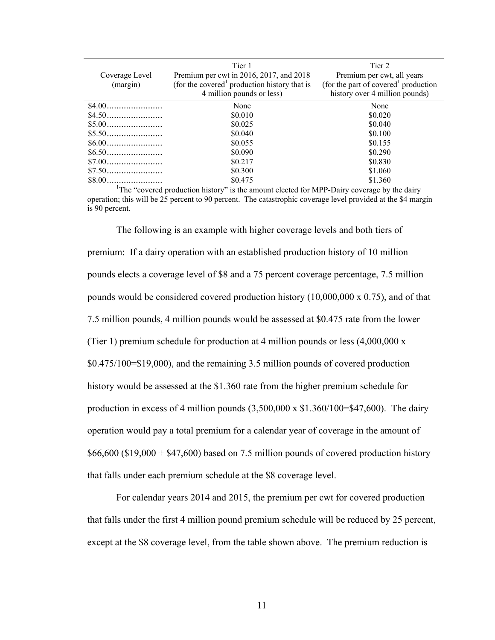| Coverage Level<br>(margin)                                                                              | Tier 1<br>Premium per cwt in 2016, 2017, and 2018<br>(for the covered <sup>1</sup> production history that is<br>4 million pounds or less) | Tier 2<br>Premium per cwt, all years<br>(for the part of covered <sup>1</sup> production<br>history over 4 million pounds) |  |  |  |
|---------------------------------------------------------------------------------------------------------|--------------------------------------------------------------------------------------------------------------------------------------------|----------------------------------------------------------------------------------------------------------------------------|--|--|--|
|                                                                                                         | None                                                                                                                                       | None                                                                                                                       |  |  |  |
|                                                                                                         | \$0.010                                                                                                                                    | \$0.020                                                                                                                    |  |  |  |
|                                                                                                         | \$0.025                                                                                                                                    | \$0.040                                                                                                                    |  |  |  |
|                                                                                                         | \$0.040                                                                                                                                    | \$0.100                                                                                                                    |  |  |  |
|                                                                                                         | \$0.055                                                                                                                                    | \$0.155                                                                                                                    |  |  |  |
|                                                                                                         | \$0.090                                                                                                                                    | \$0.290                                                                                                                    |  |  |  |
|                                                                                                         | \$0.217                                                                                                                                    | \$0.830                                                                                                                    |  |  |  |
|                                                                                                         | \$0.300                                                                                                                                    | \$1.060                                                                                                                    |  |  |  |
|                                                                                                         | \$0.475                                                                                                                                    | \$1.360                                                                                                                    |  |  |  |
| <sup>1</sup> The "covered production history" is the amount elected for MPP-Dairy coverage by the dairy |                                                                                                                                            |                                                                                                                            |  |  |  |

operation; this will be 25 percent to 90 percent. The catastrophic coverage level provided at the \$4 margin is 90 percent.

 The following is an example with higher coverage levels and both tiers of premium: If a dairy operation with an established production history of 10 million pounds elects a coverage level of \$8 and a 75 percent coverage percentage, 7.5 million pounds would be considered covered production history (10,000,000 x 0.75), and of that 7.5 million pounds, 4 million pounds would be assessed at \$0.475 rate from the lower (Tier 1) premium schedule for production at 4 million pounds or less (4,000,000 x \$0.475/100=\$19,000), and the remaining 3.5 million pounds of covered production history would be assessed at the \$1.360 rate from the higher premium schedule for production in excess of 4 million pounds  $(3,500,000 \times$  \$1.360/100=\$47,600). The dairy operation would pay a total premium for a calendar year of coverage in the amount of  $$66,600$  (\$19,000 + \$47,600) based on 7.5 million pounds of covered production history that falls under each premium schedule at the \$8 coverage level.

 For calendar years 2014 and 2015, the premium per cwt for covered production that falls under the first 4 million pound premium schedule will be reduced by 25 percent, except at the \$8 coverage level, from the table shown above. The premium reduction is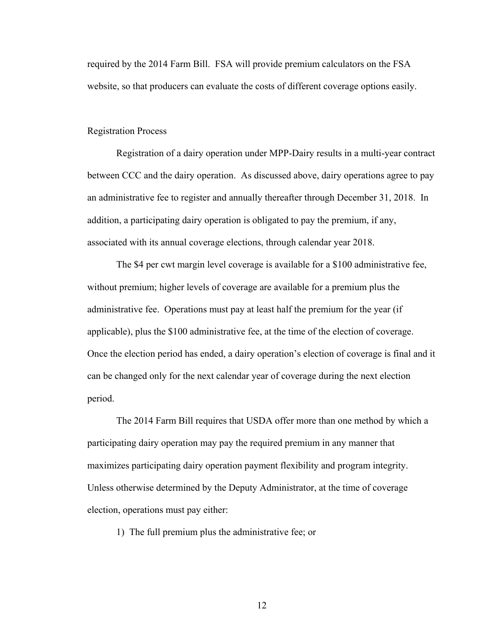required by the 2014 Farm Bill. FSA will provide premium calculators on the FSA website, so that producers can evaluate the costs of different coverage options easily.

### Registration Process

 Registration of a dairy operation under MPP-Dairy results in a multi-year contract between CCC and the dairy operation. As discussed above, dairy operations agree to pay an administrative fee to register and annually thereafter through December 31, 2018. In addition, a participating dairy operation is obligated to pay the premium, if any, associated with its annual coverage elections, through calendar year 2018.

The \$4 per cwt margin level coverage is available for a \$100 administrative fee, without premium; higher levels of coverage are available for a premium plus the administrative fee. Operations must pay at least half the premium for the year (if applicable), plus the \$100 administrative fee, at the time of the election of coverage. Once the election period has ended, a dairy operation's election of coverage is final and it can be changed only for the next calendar year of coverage during the next election period.

The 2014 Farm Bill requires that USDA offer more than one method by which a participating dairy operation may pay the required premium in any manner that maximizes participating dairy operation payment flexibility and program integrity. Unless otherwise determined by the Deputy Administrator, at the time of coverage election, operations must pay either:

1) The full premium plus the administrative fee; or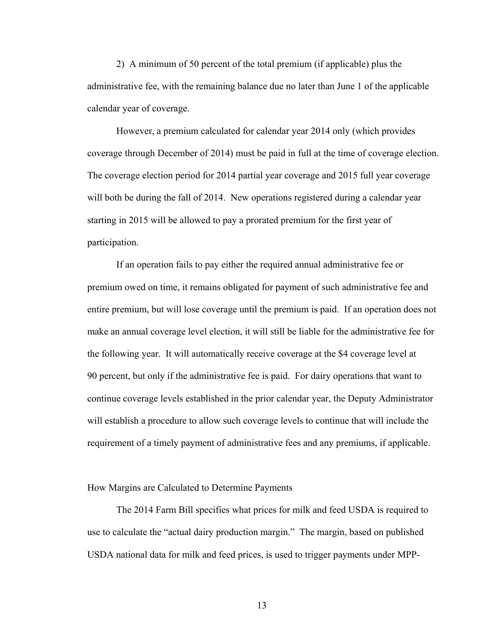2) A minimum of 50 percent of the total premium (if applicable) plus the administrative fee, with the remaining balance due no later than June 1 of the applicable calendar year of coverage.

However, a premium calculated for calendar year 2014 only (which provides coverage through December of 2014) must be paid in full at the time of coverage election. The coverage election period for 2014 partial year coverage and 2015 full year coverage will both be during the fall of 2014. New operations registered during a calendar year starting in 2015 will be allowed to pay a prorated premium for the first year of participation.

If an operation fails to pay either the required annual administrative fee or premium owed on time, it remains obligated for payment of such administrative fee and entire premium, but will lose coverage until the premium is paid. If an operation does not make an annual coverage level election, it will still be liable for the administrative fee for the following year. It will automatically receive coverage at the \$4 coverage level at 90 percent, but only if the administrative fee is paid. For dairy operations that want to continue coverage levels established in the prior calendar year, the Deputy Administrator will establish a procedure to allow such coverage levels to continue that will include the requirement of a timely payment of administrative fees and any premiums, if applicable.

### How Margins are Calculated to Determine Payments

 The 2014 Farm Bill specifies what prices for milk and feed USDA is required to use to calculate the "actual dairy production margin." The margin, based on published USDA national data for milk and feed prices, is used to trigger payments under MPP-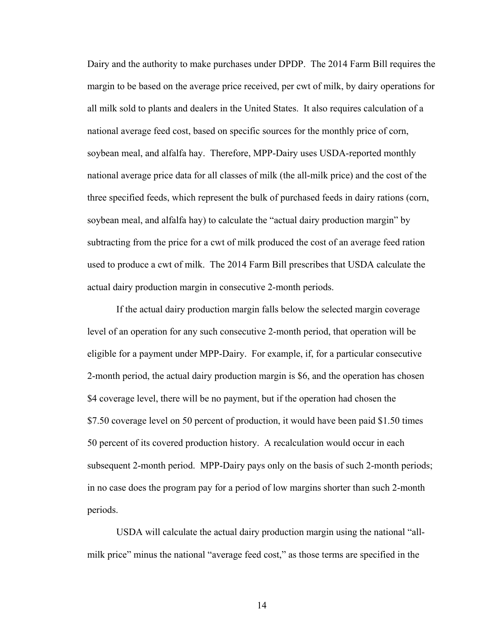Dairy and the authority to make purchases under DPDP. The 2014 Farm Bill requires the margin to be based on the average price received, per cwt of milk, by dairy operations for all milk sold to plants and dealers in the United States. It also requires calculation of a national average feed cost, based on specific sources for the monthly price of corn, soybean meal, and alfalfa hay. Therefore, MPP-Dairy uses USDA-reported monthly national average price data for all classes of milk (the all-milk price) and the cost of the three specified feeds, which represent the bulk of purchased feeds in dairy rations (corn, soybean meal, and alfalfa hay) to calculate the "actual dairy production margin" by subtracting from the price for a cwt of milk produced the cost of an average feed ration used to produce a cwt of milk. The 2014 Farm Bill prescribes that USDA calculate the actual dairy production margin in consecutive 2-month periods.

If the actual dairy production margin falls below the selected margin coverage level of an operation for any such consecutive 2-month period, that operation will be eligible for a payment under MPP-Dairy. For example, if, for a particular consecutive 2-month period, the actual dairy production margin is \$6, and the operation has chosen \$4 coverage level, there will be no payment, but if the operation had chosen the \$7.50 coverage level on 50 percent of production, it would have been paid \$1.50 times 50 percent of its covered production history. A recalculation would occur in each subsequent 2-month period. MPP-Dairy pays only on the basis of such 2-month periods; in no case does the program pay for a period of low margins shorter than such 2-month periods.

 USDA will calculate the actual dairy production margin using the national "allmilk price" minus the national "average feed cost," as those terms are specified in the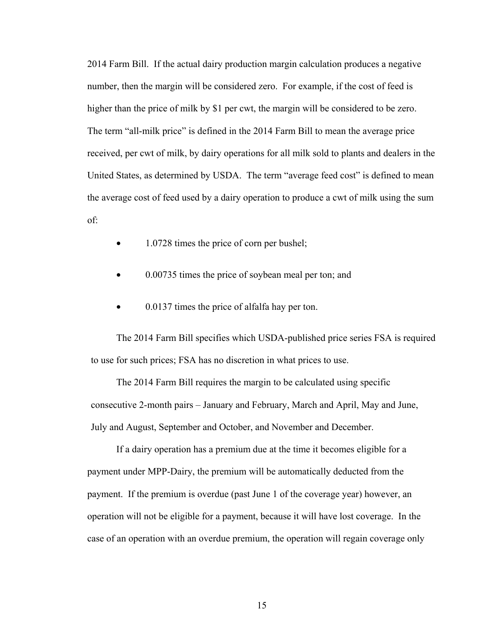2014 Farm Bill. If the actual dairy production margin calculation produces a negative number, then the margin will be considered zero. For example, if the cost of feed is higher than the price of milk by \$1 per cwt, the margin will be considered to be zero. The term "all-milk price" is defined in the 2014 Farm Bill to mean the average price received, per cwt of milk, by dairy operations for all milk sold to plants and dealers in the United States, as determined by USDA. The term "average feed cost" is defined to mean the average cost of feed used by a dairy operation to produce a cwt of milk using the sum of:

- 1.0728 times the price of corn per bushel;
- 0.00735 times the price of soybean meal per ton; and
- 0.0137 times the price of alfalfa hay per ton.

The 2014 Farm Bill specifies which USDA-published price series FSA is required to use for such prices; FSA has no discretion in what prices to use.

The 2014 Farm Bill requires the margin to be calculated using specific consecutive 2-month pairs – January and February, March and April, May and June, July and August, September and October, and November and December.

 If a dairy operation has a premium due at the time it becomes eligible for a payment under MPP-Dairy, the premium will be automatically deducted from the payment. If the premium is overdue (past June 1 of the coverage year) however, an operation will not be eligible for a payment, because it will have lost coverage. In the case of an operation with an overdue premium, the operation will regain coverage only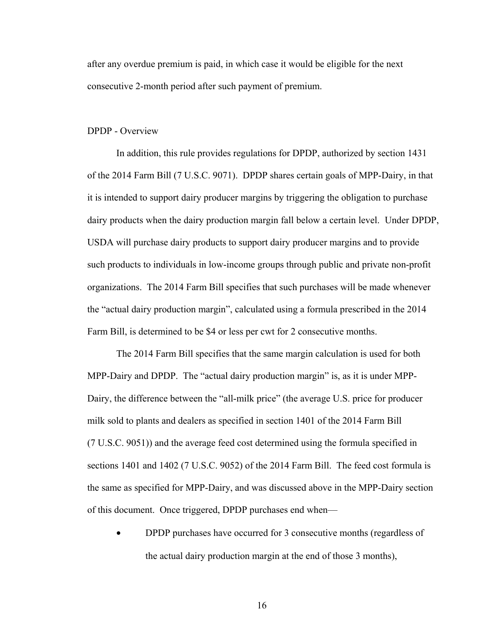after any overdue premium is paid, in which case it would be eligible for the next consecutive 2-month period after such payment of premium.

### DPDP - Overview

 In addition, this rule provides regulations for DPDP, authorized by section 1431 of the 2014 Farm Bill (7 U.S.C. 9071). DPDP shares certain goals of MPP-Dairy, in that it is intended to support dairy producer margins by triggering the obligation to purchase dairy products when the dairy production margin fall below a certain level. Under DPDP, USDA will purchase dairy products to support dairy producer margins and to provide such products to individuals in low-income groups through public and private non-profit organizations. The 2014 Farm Bill specifies that such purchases will be made whenever the "actual dairy production margin", calculated using a formula prescribed in the 2014 Farm Bill, is determined to be \$4 or less per cwt for 2 consecutive months.

 The 2014 Farm Bill specifies that the same margin calculation is used for both MPP-Dairy and DPDP. The "actual dairy production margin" is, as it is under MPP-Dairy, the difference between the "all-milk price" (the average U.S. price for producer milk sold to plants and dealers as specified in section 1401 of the 2014 Farm Bill (7 U.S.C. 9051)) and the average feed cost determined using the formula specified in sections 1401 and 1402 (7 U.S.C. 9052) of the 2014 Farm Bill. The feed cost formula is the same as specified for MPP-Dairy, and was discussed above in the MPP-Dairy section of this document. Once triggered, DPDP purchases end when—

• DPDP purchases have occurred for 3 consecutive months (regardless of the actual dairy production margin at the end of those 3 months),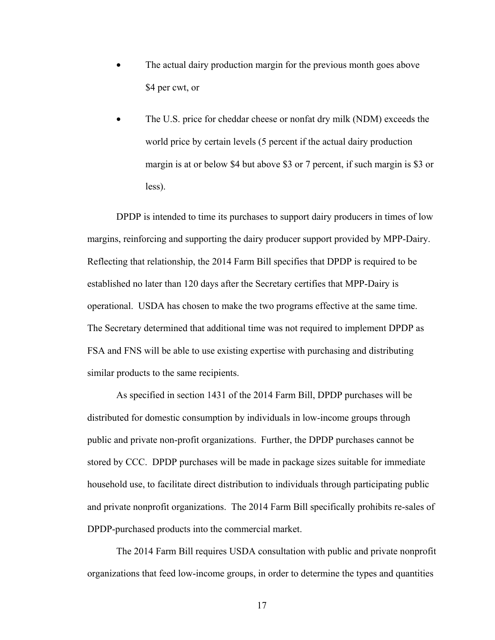- The actual dairy production margin for the previous month goes above \$4 per cwt, or
- The U.S. price for cheddar cheese or nonfat dry milk (NDM) exceeds the world price by certain levels (5 percent if the actual dairy production margin is at or below \$4 but above \$3 or 7 percent, if such margin is \$3 or less).

 DPDP is intended to time its purchases to support dairy producers in times of low margins, reinforcing and supporting the dairy producer support provided by MPP-Dairy. Reflecting that relationship, the 2014 Farm Bill specifies that DPDP is required to be established no later than 120 days after the Secretary certifies that MPP-Dairy is operational. USDA has chosen to make the two programs effective at the same time. The Secretary determined that additional time was not required to implement DPDP as FSA and FNS will be able to use existing expertise with purchasing and distributing similar products to the same recipients.

As specified in section 1431 of the 2014 Farm Bill, DPDP purchases will be distributed for domestic consumption by individuals in low-income groups through public and private non-profit organizations. Further, the DPDP purchases cannot be stored by CCC. DPDP purchases will be made in package sizes suitable for immediate household use, to facilitate direct distribution to individuals through participating public and private nonprofit organizations. The 2014 Farm Bill specifically prohibits re-sales of DPDP-purchased products into the commercial market.

The 2014 Farm Bill requires USDA consultation with public and private nonprofit organizations that feed low-income groups, in order to determine the types and quantities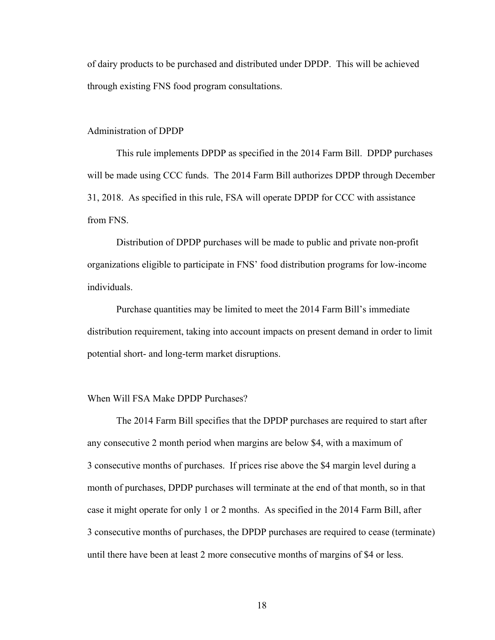of dairy products to be purchased and distributed under DPDP. This will be achieved through existing FNS food program consultations.

### Administration of DPDP

 This rule implements DPDP as specified in the 2014 Farm Bill. DPDP purchases will be made using CCC funds. The 2014 Farm Bill authorizes DPDP through December 31, 2018. As specified in this rule, FSA will operate DPDP for CCC with assistance from FNS.

Distribution of DPDP purchases will be made to public and private non-profit organizations eligible to participate in FNS' food distribution programs for low-income individuals.

Purchase quantities may be limited to meet the 2014 Farm Bill's immediate distribution requirement, taking into account impacts on present demand in order to limit potential short- and long-term market disruptions.

### When Will FSA Make DPDP Purchases?

 The 2014 Farm Bill specifies that the DPDP purchases are required to start after any consecutive 2 month period when margins are below \$4, with a maximum of 3 consecutive months of purchases. If prices rise above the \$4 margin level during a month of purchases, DPDP purchases will terminate at the end of that month, so in that case it might operate for only 1 or 2 months. As specified in the 2014 Farm Bill, after 3 consecutive months of purchases, the DPDP purchases are required to cease (terminate) until there have been at least 2 more consecutive months of margins of \$4 or less.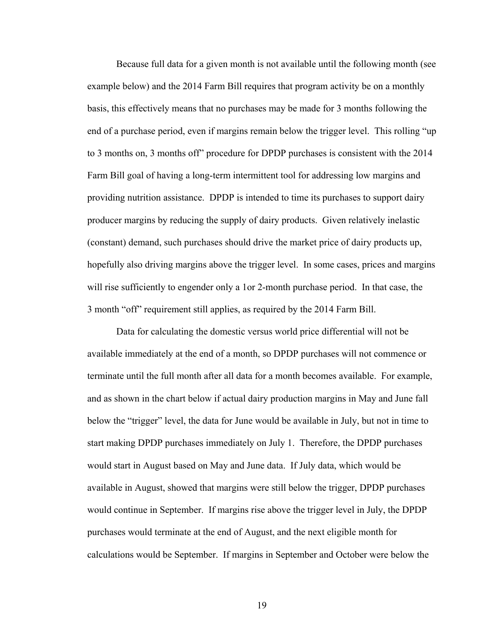Because full data for a given month is not available until the following month (see example below) and the 2014 Farm Bill requires that program activity be on a monthly basis, this effectively means that no purchases may be made for 3 months following the end of a purchase period, even if margins remain below the trigger level. This rolling "up to 3 months on, 3 months off" procedure for DPDP purchases is consistent with the 2014 Farm Bill goal of having a long-term intermittent tool for addressing low margins and providing nutrition assistance. DPDP is intended to time its purchases to support dairy producer margins by reducing the supply of dairy products. Given relatively inelastic (constant) demand, such purchases should drive the market price of dairy products up, hopefully also driving margins above the trigger level. In some cases, prices and margins will rise sufficiently to engender only a 1or 2-month purchase period. In that case, the 3 month "off" requirement still applies, as required by the 2014 Farm Bill.

 Data for calculating the domestic versus world price differential will not be available immediately at the end of a month, so DPDP purchases will not commence or terminate until the full month after all data for a month becomes available. For example, and as shown in the chart below if actual dairy production margins in May and June fall below the "trigger" level, the data for June would be available in July, but not in time to start making DPDP purchases immediately on July 1. Therefore, the DPDP purchases would start in August based on May and June data. If July data, which would be available in August, showed that margins were still below the trigger, DPDP purchases would continue in September. If margins rise above the trigger level in July, the DPDP purchases would terminate at the end of August, and the next eligible month for calculations would be September. If margins in September and October were below the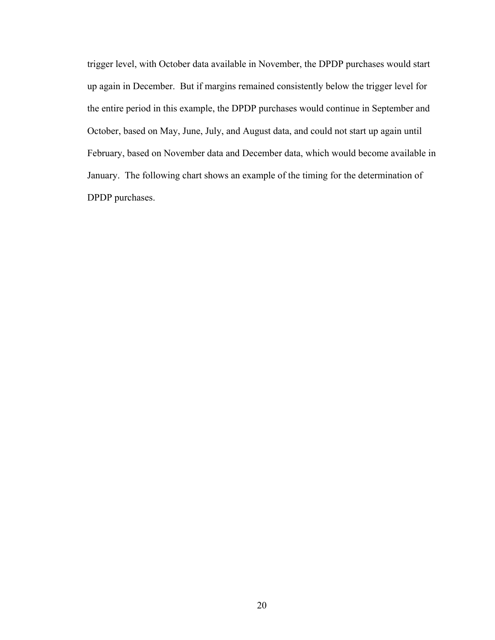trigger level, with October data available in November, the DPDP purchases would start up again in December. But if margins remained consistently below the trigger level for the entire period in this example, the DPDP purchases would continue in September and October, based on May, June, July, and August data, and could not start up again until February, based on November data and December data, which would become available in January. The following chart shows an example of the timing for the determination of DPDP purchases.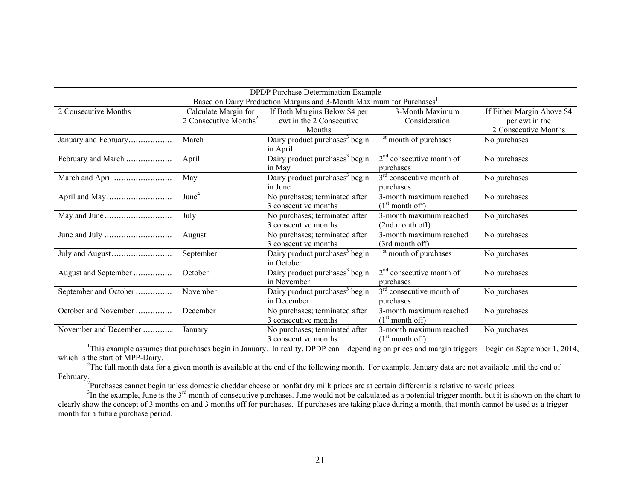| <b>DPDP</b> Purchase Determination Example                                       |                                   |                                            |                                    |                            |  |  |
|----------------------------------------------------------------------------------|-----------------------------------|--------------------------------------------|------------------------------------|----------------------------|--|--|
| Based on Dairy Production Margins and 3-Month Maximum for Purchases <sup>1</sup> |                                   |                                            |                                    |                            |  |  |
| 2 Consecutive Months                                                             | Calculate Margin for              | If Both Margins Below \$4 per              | 3-Month Maximum                    | If Either Margin Above \$4 |  |  |
|                                                                                  | 2 Consecutive Months <sup>2</sup> | cwt in the 2 Consecutive                   | Consideration                      | per cwt in the             |  |  |
|                                                                                  |                                   | Months                                     |                                    | 2 Consecutive Months       |  |  |
| January and February                                                             | March                             | Dairy product purchases <sup>3</sup> begin | 1 <sup>st</sup> month of purchases | No purchases               |  |  |
|                                                                                  |                                   | in April                                   |                                    |                            |  |  |
| February and March                                                               | April                             | Dairy product purchases <sup>3</sup> begin | $2nd$ consecutive month of         | No purchases               |  |  |
|                                                                                  |                                   | in May                                     | purchases                          |                            |  |  |
| March and April                                                                  | May                               | Dairy product purchases <sup>3</sup> begin | $3rd$ consecutive month of         | No purchases               |  |  |
|                                                                                  |                                   | in June                                    | purchases                          |                            |  |  |
|                                                                                  | June <sup>4</sup>                 | No purchases; terminated after             | 3-month maximum reached            | No purchases               |  |  |
|                                                                                  |                                   | 3 consecutive months                       | (1 <sup>st</sup> month off)        |                            |  |  |
|                                                                                  | July                              | No purchases; terminated after             | 3-month maximum reached            | No purchases               |  |  |
|                                                                                  |                                   | 3 consecutive months                       | (2nd month off)                    |                            |  |  |
|                                                                                  | August                            | No purchases; terminated after             | 3-month maximum reached            | No purchases               |  |  |
|                                                                                  |                                   | 3 consecutive months                       | (3rd month off)                    |                            |  |  |
|                                                                                  | September                         | Dairy product purchases <sup>3</sup> begin | 1 <sup>st</sup> month of purchases | No purchases               |  |  |
|                                                                                  |                                   | in October                                 |                                    |                            |  |  |
| August and September                                                             | October                           | Dairy product purchases <sup>3</sup> begin | $2nd$ consecutive month of         | No purchases               |  |  |
|                                                                                  |                                   | in November                                | purchases                          |                            |  |  |
| September and October                                                            | November                          | Dairy product purchases <sup>3</sup> begin | $3rd$ consecutive month of         | No purchases               |  |  |
|                                                                                  |                                   | in December                                | purchases                          |                            |  |  |
| October and November                                                             | December                          | No purchases; terminated after             | 3-month maximum reached            | No purchases               |  |  |
|                                                                                  |                                   | 3 consecutive months                       | (1 <sup>st</sup> month off)        |                            |  |  |
| November and December                                                            | January                           | No purchases; terminated after             | 3-month maximum reached            | No purchases               |  |  |
|                                                                                  |                                   | 3 consecutive months                       | (1 <sup>st</sup> month off)        |                            |  |  |

<sup>1</sup>This example assumes that purchases begin in January. In reality, DPDP can – depending on prices and margin triggers – begin on September 1, 2014, which is the start of MPP-Dairy.

<sup>2</sup>The full month data for a given month is available at the end of the following month. For example, January data are not available until the end of February.

<sup>2</sup>Purchases cannot begin unless domestic cheddar cheese or nonfat dry milk prices are at certain differentials relative to world prices.

 $3$ In the example, June is the  $3<sup>rd</sup>$  month of consecutive purchases. June would not be calculated as a potential trigger month, but it is shown on the chart to clearly show the concept of 3 months on and 3 months off for purchases. If purchases are taking place during a month, that month cannot be used as a trigger month for a future purchase period.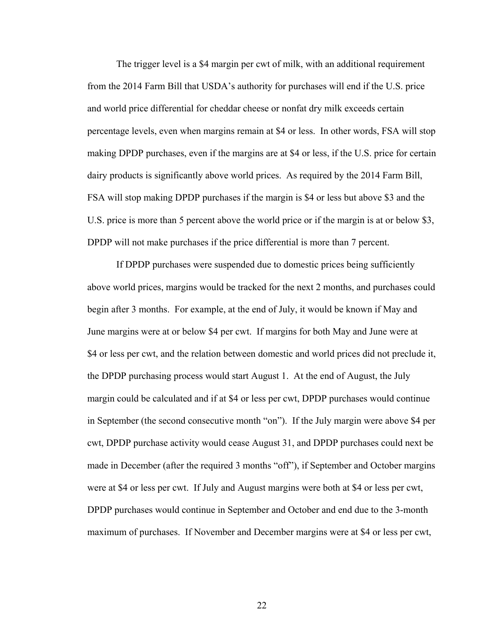The trigger level is a \$4 margin per cwt of milk, with an additional requirement from the 2014 Farm Bill that USDA's authority for purchases will end if the U.S. price and world price differential for cheddar cheese or nonfat dry milk exceeds certain percentage levels, even when margins remain at \$4 or less. In other words, FSA will stop making DPDP purchases, even if the margins are at \$4 or less, if the U.S. price for certain dairy products is significantly above world prices. As required by the 2014 Farm Bill, FSA will stop making DPDP purchases if the margin is \$4 or less but above \$3 and the U.S. price is more than 5 percent above the world price or if the margin is at or below \$3, DPDP will not make purchases if the price differential is more than 7 percent.

 If DPDP purchases were suspended due to domestic prices being sufficiently above world prices, margins would be tracked for the next 2 months, and purchases could begin after 3 months. For example, at the end of July, it would be known if May and June margins were at or below \$4 per cwt. If margins for both May and June were at \$4 or less per cwt, and the relation between domestic and world prices did not preclude it, the DPDP purchasing process would start August 1. At the end of August, the July margin could be calculated and if at \$4 or less per cwt, DPDP purchases would continue in September (the second consecutive month "on"). If the July margin were above \$4 per cwt, DPDP purchase activity would cease August 31, and DPDP purchases could next be made in December (after the required 3 months "off"), if September and October margins were at \$4 or less per cwt. If July and August margins were both at \$4 or less per cwt, DPDP purchases would continue in September and October and end due to the 3-month maximum of purchases. If November and December margins were at \$4 or less per cwt,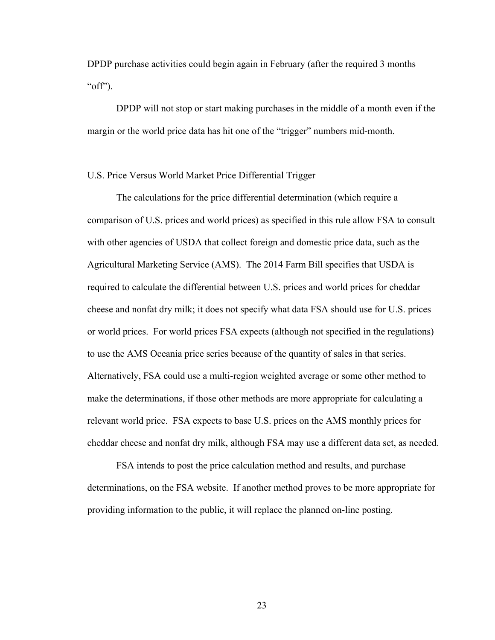DPDP purchase activities could begin again in February (after the required 3 months " $off$ ").

 DPDP will not stop or start making purchases in the middle of a month even if the margin or the world price data has hit one of the "trigger" numbers mid-month.

# U.S. Price Versus World Market Price Differential Trigger

 The calculations for the price differential determination (which require a comparison of U.S. prices and world prices) as specified in this rule allow FSA to consult with other agencies of USDA that collect foreign and domestic price data, such as the Agricultural Marketing Service (AMS). The 2014 Farm Bill specifies that USDA is required to calculate the differential between U.S. prices and world prices for cheddar cheese and nonfat dry milk; it does not specify what data FSA should use for U.S. prices or world prices. For world prices FSA expects (although not specified in the regulations) to use the AMS Oceania price series because of the quantity of sales in that series. Alternatively, FSA could use a multi-region weighted average or some other method to make the determinations, if those other methods are more appropriate for calculating a relevant world price. FSA expects to base U.S. prices on the AMS monthly prices for cheddar cheese and nonfat dry milk, although FSA may use a different data set, as needed.

 FSA intends to post the price calculation method and results, and purchase determinations, on the FSA website. If another method proves to be more appropriate for providing information to the public, it will replace the planned on-line posting.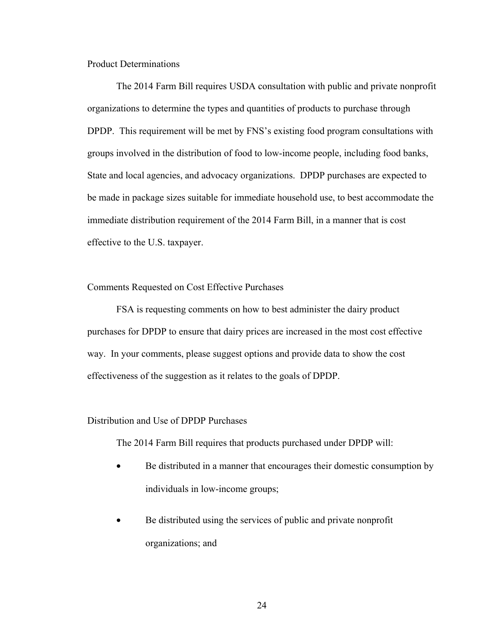Product Determinations

 The 2014 Farm Bill requires USDA consultation with public and private nonprofit organizations to determine the types and quantities of products to purchase through DPDP. This requirement will be met by FNS's existing food program consultations with groups involved in the distribution of food to low-income people, including food banks, State and local agencies, and advocacy organizations. DPDP purchases are expected to be made in package sizes suitable for immediate household use, to best accommodate the immediate distribution requirement of the 2014 Farm Bill, in a manner that is cost effective to the U.S. taxpayer.

### Comments Requested on Cost Effective Purchases

FSA is requesting comments on how to best administer the dairy product purchases for DPDP to ensure that dairy prices are increased in the most cost effective way. In your comments, please suggest options and provide data to show the cost effectiveness of the suggestion as it relates to the goals of DPDP.

### Distribution and Use of DPDP Purchases

The 2014 Farm Bill requires that products purchased under DPDP will:

- Be distributed in a manner that encourages their domestic consumption by individuals in low-income groups;
- Be distributed using the services of public and private nonprofit organizations; and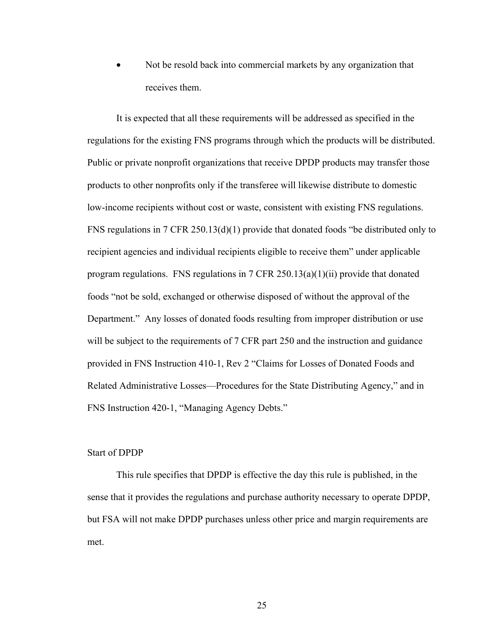• Not be resold back into commercial markets by any organization that receives them.

 It is expected that all these requirements will be addressed as specified in the regulations for the existing FNS programs through which the products will be distributed. Public or private nonprofit organizations that receive DPDP products may transfer those products to other nonprofits only if the transferee will likewise distribute to domestic low-income recipients without cost or waste, consistent with existing FNS regulations. FNS regulations in 7 CFR 250.13(d)(1) provide that donated foods "be distributed only to recipient agencies and individual recipients eligible to receive them" under applicable program regulations. FNS regulations in 7 CFR 250.13(a)(1)(ii) provide that donated foods "not be sold, exchanged or otherwise disposed of without the approval of the Department." Any losses of donated foods resulting from improper distribution or use will be subject to the requirements of 7 CFR part 250 and the instruction and guidance provided in FNS Instruction 410-1, Rev 2 "Claims for Losses of Donated Foods and Related Administrative Losses—Procedures for the State Distributing Agency," and in FNS Instruction 420-1, "Managing Agency Debts."

## Start of DPDP

 This rule specifies that DPDP is effective the day this rule is published, in the sense that it provides the regulations and purchase authority necessary to operate DPDP, but FSA will not make DPDP purchases unless other price and margin requirements are met.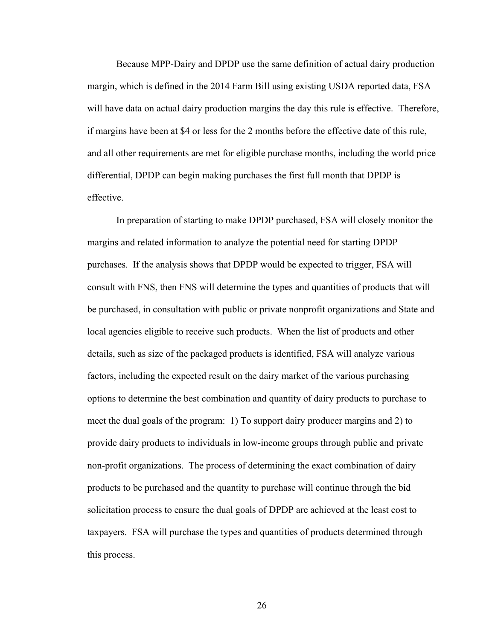Because MPP-Dairy and DPDP use the same definition of actual dairy production margin, which is defined in the 2014 Farm Bill using existing USDA reported data, FSA will have data on actual dairy production margins the day this rule is effective. Therefore, if margins have been at \$4 or less for the 2 months before the effective date of this rule, and all other requirements are met for eligible purchase months, including the world price differential, DPDP can begin making purchases the first full month that DPDP is effective.

In preparation of starting to make DPDP purchased, FSA will closely monitor the margins and related information to analyze the potential need for starting DPDP purchases. If the analysis shows that DPDP would be expected to trigger, FSA will consult with FNS, then FNS will determine the types and quantities of products that will be purchased, in consultation with public or private nonprofit organizations and State and local agencies eligible to receive such products. When the list of products and other details, such as size of the packaged products is identified, FSA will analyze various factors, including the expected result on the dairy market of the various purchasing options to determine the best combination and quantity of dairy products to purchase to meet the dual goals of the program: 1) To support dairy producer margins and 2) to provide dairy products to individuals in low-income groups through public and private non-profit organizations. The process of determining the exact combination of dairy products to be purchased and the quantity to purchase will continue through the bid solicitation process to ensure the dual goals of DPDP are achieved at the least cost to taxpayers. FSA will purchase the types and quantities of products determined through this process.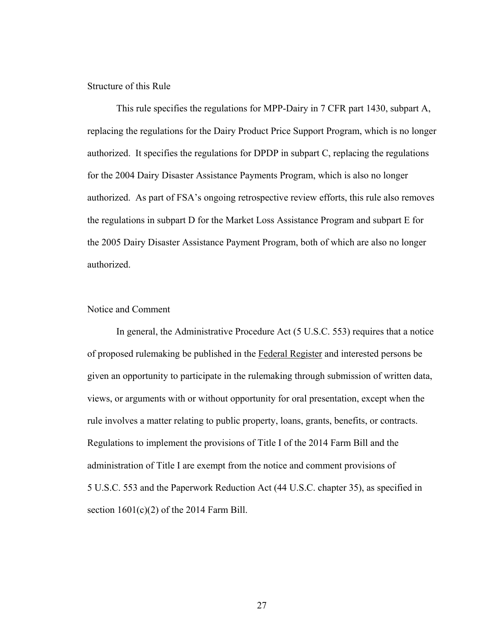### Structure of this Rule

 This rule specifies the regulations for MPP-Dairy in 7 CFR part 1430, subpart A, replacing the regulations for the Dairy Product Price Support Program, which is no longer authorized. It specifies the regulations for DPDP in subpart C, replacing the regulations for the 2004 Dairy Disaster Assistance Payments Program, which is also no longer authorized. As part of FSA's ongoing retrospective review efforts, this rule also removes the regulations in subpart D for the Market Loss Assistance Program and subpart E for the 2005 Dairy Disaster Assistance Payment Program, both of which are also no longer authorized.

### Notice and Comment

 In general, the Administrative Procedure Act (5 U.S.C. 553) requires that a notice of proposed rulemaking be published in the Federal Register and interested persons be given an opportunity to participate in the rulemaking through submission of written data, views, or arguments with or without opportunity for oral presentation, except when the rule involves a matter relating to public property, loans, grants, benefits, or contracts. Regulations to implement the provisions of Title I of the 2014 Farm Bill and the administration of Title I are exempt from the notice and comment provisions of 5 U.S.C. 553 and the Paperwork Reduction Act (44 U.S.C. chapter 35), as specified in section  $1601(c)(2)$  of the 2014 Farm Bill.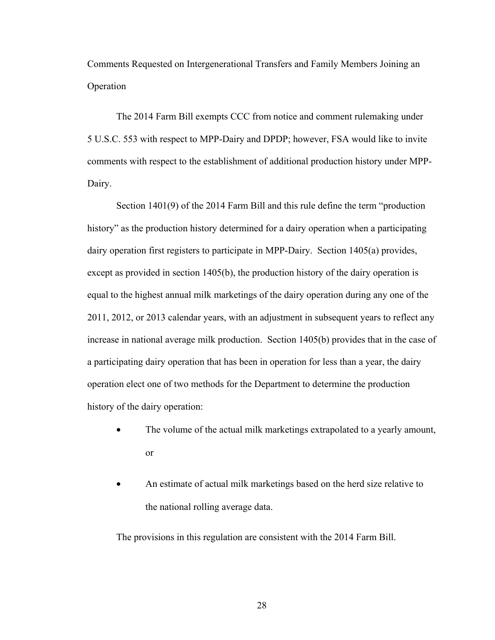Comments Requested on Intergenerational Transfers and Family Members Joining an Operation

The 2014 Farm Bill exempts CCC from notice and comment rulemaking under 5 U.S.C. 553 with respect to MPP-Dairy and DPDP; however, FSA would like to invite comments with respect to the establishment of additional production history under MPP-Dairy.

Section 1401(9) of the 2014 Farm Bill and this rule define the term "production history" as the production history determined for a dairy operation when a participating dairy operation first registers to participate in MPP-Dairy. Section 1405(a) provides, except as provided in section 1405(b), the production history of the dairy operation is equal to the highest annual milk marketings of the dairy operation during any one of the 2011, 2012, or 2013 calendar years, with an adjustment in subsequent years to reflect any increase in national average milk production. Section 1405(b) provides that in the case of a participating dairy operation that has been in operation for less than a year, the dairy operation elect one of two methods for the Department to determine the production history of the dairy operation:

- The volume of the actual milk marketings extrapolated to a yearly amount, or
- An estimate of actual milk marketings based on the herd size relative to the national rolling average data.

The provisions in this regulation are consistent with the 2014 Farm Bill.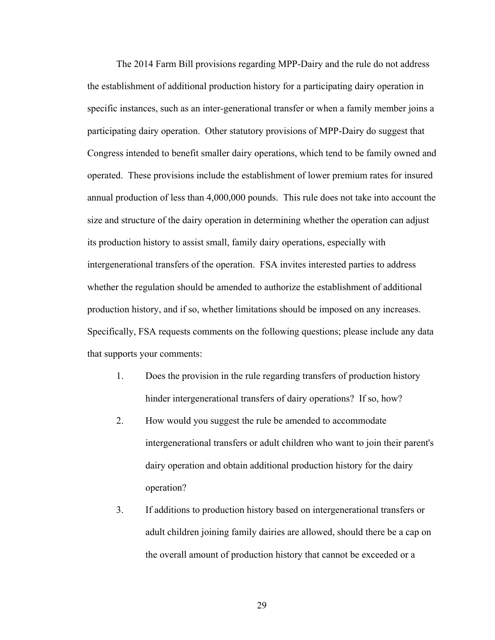The 2014 Farm Bill provisions regarding MPP-Dairy and the rule do not address the establishment of additional production history for a participating dairy operation in specific instances, such as an inter-generational transfer or when a family member joins a participating dairy operation. Other statutory provisions of MPP-Dairy do suggest that Congress intended to benefit smaller dairy operations, which tend to be family owned and operated. These provisions include the establishment of lower premium rates for insured annual production of less than 4,000,000 pounds. This rule does not take into account the size and structure of the dairy operation in determining whether the operation can adjust its production history to assist small, family dairy operations, especially with intergenerational transfers of the operation. FSA invites interested parties to address whether the regulation should be amended to authorize the establishment of additional production history, and if so, whether limitations should be imposed on any increases. Specifically, FSA requests comments on the following questions; please include any data that supports your comments:

- 1. Does the provision in the rule regarding transfers of production history hinder intergenerational transfers of dairy operations? If so, how?
- 2. How would you suggest the rule be amended to accommodate intergenerational transfers or adult children who want to join their parent's dairy operation and obtain additional production history for the dairy operation?
- 3. If additions to production history based on intergenerational transfers or adult children joining family dairies are allowed, should there be a cap on the overall amount of production history that cannot be exceeded or a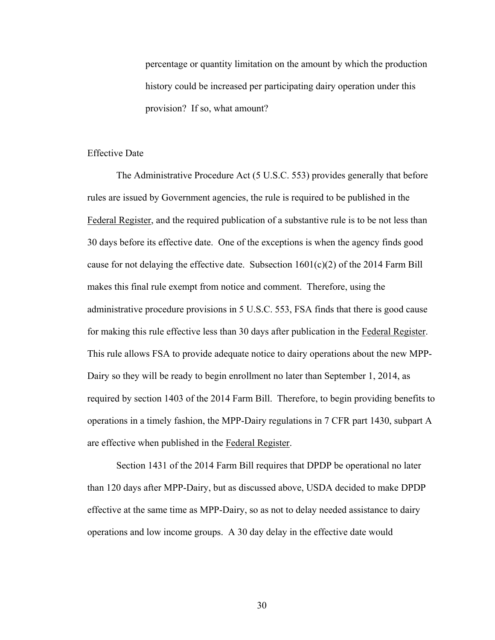percentage or quantity limitation on the amount by which the production history could be increased per participating dairy operation under this provision? If so, what amount?

### Effective Date

 The Administrative Procedure Act (5 U.S.C. 553) provides generally that before rules are issued by Government agencies, the rule is required to be published in the Federal Register, and the required publication of a substantive rule is to be not less than 30 days before its effective date. One of the exceptions is when the agency finds good cause for not delaying the effective date. Subsection  $1601(c)(2)$  of the 2014 Farm Bill makes this final rule exempt from notice and comment. Therefore, using the administrative procedure provisions in 5 U.S.C. 553, FSA finds that there is good cause for making this rule effective less than 30 days after publication in the Federal Register. This rule allows FSA to provide adequate notice to dairy operations about the new MPP-Dairy so they will be ready to begin enrollment no later than September 1, 2014, as required by section 1403 of the 2014 Farm Bill. Therefore, to begin providing benefits to operations in a timely fashion, the MPP-Dairy regulations in 7 CFR part 1430, subpart A are effective when published in the Federal Register.

 Section 1431 of the 2014 Farm Bill requires that DPDP be operational no later than 120 days after MPP-Dairy, but as discussed above, USDA decided to make DPDP effective at the same time as MPP-Dairy, so as not to delay needed assistance to dairy operations and low income groups. A 30 day delay in the effective date would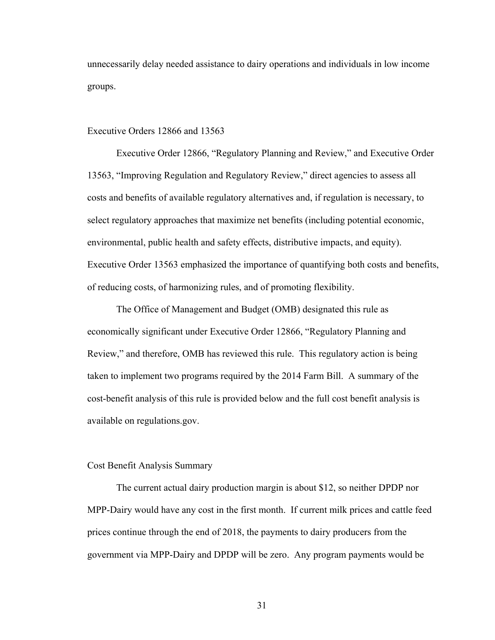unnecessarily delay needed assistance to dairy operations and individuals in low income groups.

### Executive Orders 12866 and 13563

 Executive Order 12866, "Regulatory Planning and Review," and Executive Order 13563, "Improving Regulation and Regulatory Review," direct agencies to assess all costs and benefits of available regulatory alternatives and, if regulation is necessary, to select regulatory approaches that maximize net benefits (including potential economic, environmental, public health and safety effects, distributive impacts, and equity). Executive Order 13563 emphasized the importance of quantifying both costs and benefits, of reducing costs, of harmonizing rules, and of promoting flexibility.

 The Office of Management and Budget (OMB) designated this rule as economically significant under Executive Order 12866, "Regulatory Planning and Review," and therefore, OMB has reviewed this rule. This regulatory action is being taken to implement two programs required by the 2014 Farm Bill. A summary of the cost-benefit analysis of this rule is provided below and the full cost benefit analysis is available on regulations.gov.

### Cost Benefit Analysis Summary

 The current actual dairy production margin is about \$12, so neither DPDP nor MPP-Dairy would have any cost in the first month. If current milk prices and cattle feed prices continue through the end of 2018, the payments to dairy producers from the government via MPP-Dairy and DPDP will be zero. Any program payments would be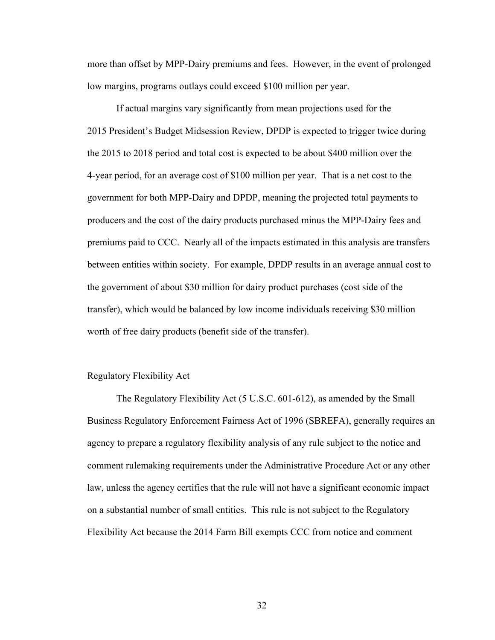more than offset by MPP-Dairy premiums and fees. However, in the event of prolonged low margins, programs outlays could exceed \$100 million per year.

 If actual margins vary significantly from mean projections used for the 2015 President's Budget Midsession Review, DPDP is expected to trigger twice during the 2015 to 2018 period and total cost is expected to be about \$400 million over the 4-year period, for an average cost of \$100 million per year. That is a net cost to the government for both MPP-Dairy and DPDP, meaning the projected total payments to producers and the cost of the dairy products purchased minus the MPP-Dairy fees and premiums paid to CCC. Nearly all of the impacts estimated in this analysis are transfers between entities within society. For example, DPDP results in an average annual cost to the government of about \$30 million for dairy product purchases (cost side of the transfer), which would be balanced by low income individuals receiving \$30 million worth of free dairy products (benefit side of the transfer).

# Regulatory Flexibility Act

 The Regulatory Flexibility Act (5 U.S.C. 601-612), as amended by the Small Business Regulatory Enforcement Fairness Act of 1996 (SBREFA), generally requires an agency to prepare a regulatory flexibility analysis of any rule subject to the notice and comment rulemaking requirements under the Administrative Procedure Act or any other law, unless the agency certifies that the rule will not have a significant economic impact on a substantial number of small entities. This rule is not subject to the Regulatory Flexibility Act because the 2014 Farm Bill exempts CCC from notice and comment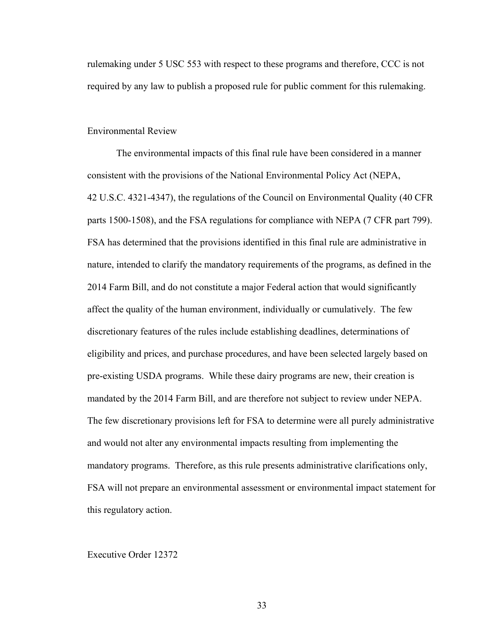rulemaking under 5 USC 553 with respect to these programs and therefore, CCC is not required by any law to publish a proposed rule for public comment for this rulemaking.

### Environmental Review

The environmental impacts of this final rule have been considered in a manner consistent with the provisions of the National Environmental Policy Act (NEPA, 42 U.S.C. 4321-4347), the regulations of the Council on Environmental Quality (40 CFR parts 1500-1508), and the FSA regulations for compliance with NEPA (7 CFR part 799). FSA has determined that the provisions identified in this final rule are administrative in nature, intended to clarify the mandatory requirements of the programs, as defined in the 2014 Farm Bill, and do not constitute a major Federal action that would significantly affect the quality of the human environment, individually or cumulatively. The few discretionary features of the rules include establishing deadlines, determinations of eligibility and prices, and purchase procedures, and have been selected largely based on pre-existing USDA programs. While these dairy programs are new, their creation is mandated by the 2014 Farm Bill, and are therefore not subject to review under NEPA. The few discretionary provisions left for FSA to determine were all purely administrative and would not alter any environmental impacts resulting from implementing the mandatory programs. Therefore, as this rule presents administrative clarifications only, FSA will not prepare an environmental assessment or environmental impact statement for this regulatory action.

#### Executive Order 12372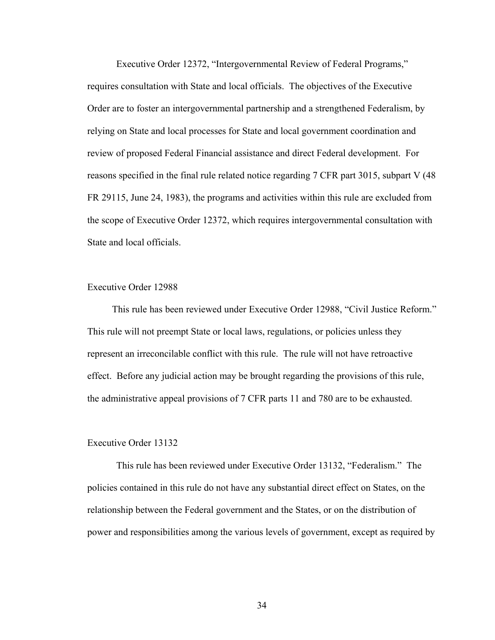Executive Order 12372, "Intergovernmental Review of Federal Programs," requires consultation with State and local officials. The objectives of the Executive Order are to foster an intergovernmental partnership and a strengthened Federalism, by relying on State and local processes for State and local government coordination and review of proposed Federal Financial assistance and direct Federal development. For reasons specified in the final rule related notice regarding 7 CFR part 3015, subpart V (48 FR 29115, June 24, 1983), the programs and activities within this rule are excluded from the scope of Executive Order 12372, which requires intergovernmental consultation with State and local officials.

### Executive Order 12988

 This rule has been reviewed under Executive Order 12988, "Civil Justice Reform." This rule will not preempt State or local laws, regulations, or policies unless they represent an irreconcilable conflict with this rule. The rule will not have retroactive effect. Before any judicial action may be brought regarding the provisions of this rule, the administrative appeal provisions of 7 CFR parts 11 and 780 are to be exhausted.

## Executive Order 13132

 This rule has been reviewed under Executive Order 13132, "Federalism." The policies contained in this rule do not have any substantial direct effect on States, on the relationship between the Federal government and the States, or on the distribution of power and responsibilities among the various levels of government, except as required by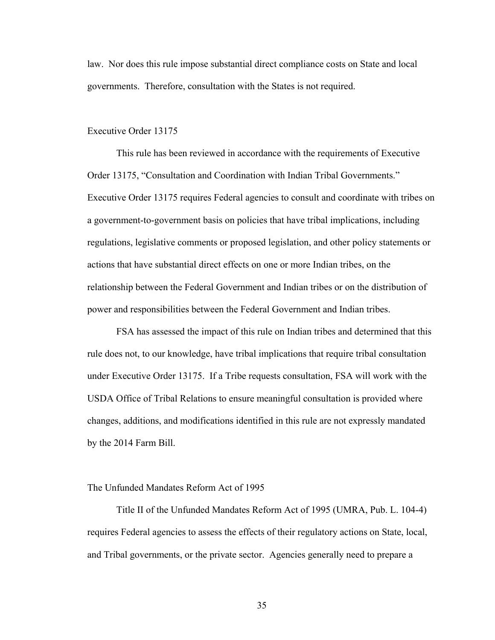law. Nor does this rule impose substantial direct compliance costs on State and local governments. Therefore, consultation with the States is not required.

### Executive Order 13175

This rule has been reviewed in accordance with the requirements of Executive Order 13175, "Consultation and Coordination with Indian Tribal Governments." Executive Order 13175 requires Federal agencies to consult and coordinate with tribes on a government-to-government basis on policies that have tribal implications, including regulations, legislative comments or proposed legislation, and other policy statements or actions that have substantial direct effects on one or more Indian tribes, on the relationship between the Federal Government and Indian tribes or on the distribution of power and responsibilities between the Federal Government and Indian tribes.

FSA has assessed the impact of this rule on Indian tribes and determined that this rule does not, to our knowledge, have tribal implications that require tribal consultation under Executive Order 13175. If a Tribe requests consultation, FSA will work with the USDA Office of Tribal Relations to ensure meaningful consultation is provided where changes, additions, and modifications identified in this rule are not expressly mandated by the 2014 Farm Bill.

### The Unfunded Mandates Reform Act of 1995

 Title II of the Unfunded Mandates Reform Act of 1995 (UMRA, Pub. L. 104-4) requires Federal agencies to assess the effects of their regulatory actions on State, local, and Tribal governments, or the private sector. Agencies generally need to prepare a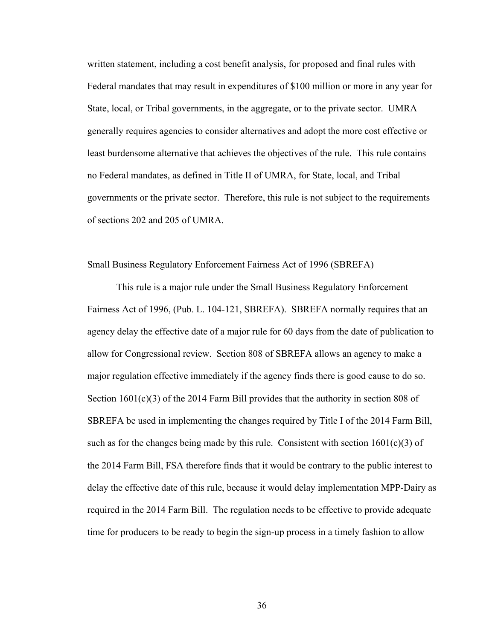written statement, including a cost benefit analysis, for proposed and final rules with Federal mandates that may result in expenditures of \$100 million or more in any year for State, local, or Tribal governments, in the aggregate, or to the private sector. UMRA generally requires agencies to consider alternatives and adopt the more cost effective or least burdensome alternative that achieves the objectives of the rule. This rule contains no Federal mandates, as defined in Title II of UMRA, for State, local, and Tribal governments or the private sector. Therefore, this rule is not subject to the requirements of sections 202 and 205 of UMRA.

# Small Business Regulatory Enforcement Fairness Act of 1996 (SBREFA)

 This rule is a major rule under the Small Business Regulatory Enforcement Fairness Act of 1996, (Pub. L. 104-121, SBREFA). SBREFA normally requires that an agency delay the effective date of a major rule for 60 days from the date of publication to allow for Congressional review. Section 808 of SBREFA allows an agency to make a major regulation effective immediately if the agency finds there is good cause to do so. Section  $1601(c)(3)$  of the 2014 Farm Bill provides that the authority in section 808 of SBREFA be used in implementing the changes required by Title I of the 2014 Farm Bill, such as for the changes being made by this rule. Consistent with section  $1601(c)(3)$  of the 2014 Farm Bill, FSA therefore finds that it would be contrary to the public interest to delay the effective date of this rule, because it would delay implementation MPP-Dairy as required in the 2014 Farm Bill. The regulation needs to be effective to provide adequate time for producers to be ready to begin the sign-up process in a timely fashion to allow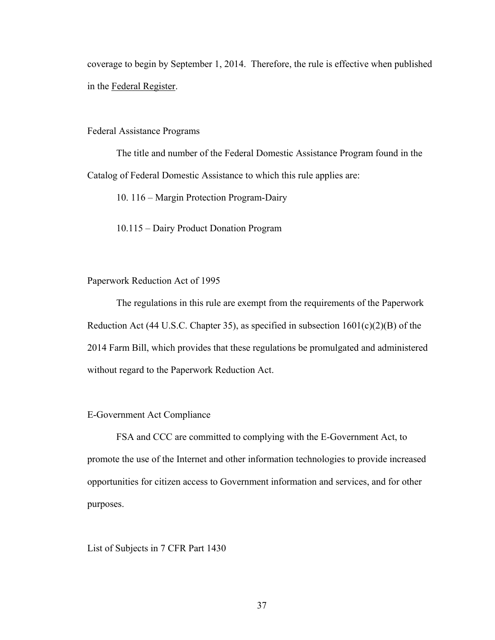coverage to begin by September 1, 2014. Therefore, the rule is effective when published in the Federal Register.

## Federal Assistance Programs

 The title and number of the Federal Domestic Assistance Program found in the Catalog of Federal Domestic Assistance to which this rule applies are:

- 10. 116 Margin Protection Program-Dairy
- 10.115 Dairy Product Donation Program

# Paperwork Reduction Act of 1995

 The regulations in this rule are exempt from the requirements of the Paperwork Reduction Act (44 U.S.C. Chapter 35), as specified in subsection  $1601(c)(2)(B)$  of the 2014 Farm Bill, which provides that these regulations be promulgated and administered without regard to the Paperwork Reduction Act.

# E-Government Act Compliance

 FSA and CCC are committed to complying with the E-Government Act, to promote the use of the Internet and other information technologies to provide increased opportunities for citizen access to Government information and services, and for other purposes.

# List of Subjects in 7 CFR Part 1430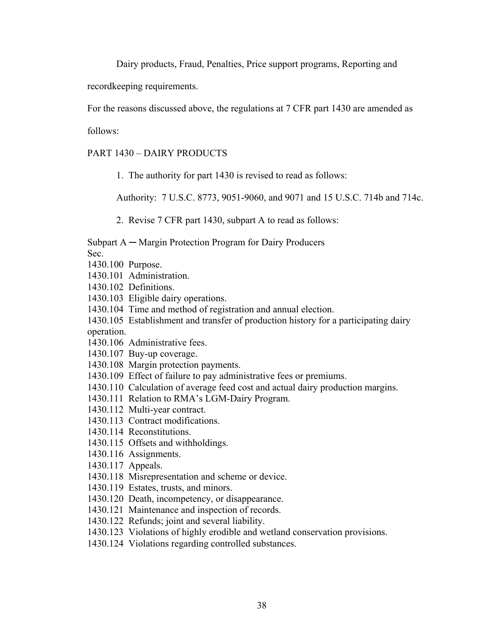Dairy products, Fraud, Penalties, Price support programs, Reporting and

recordkeeping requirements.

For the reasons discussed above, the regulations at 7 CFR part 1430 are amended as

follows:

PART 1430 – DAIRY PRODUCTS

1. The authority for part 1430 is revised to read as follows:

Authority: 7 U.S.C. 8773, 9051-9060, and 9071 and 15 U.S.C. 714b and 714c.

2. Revise 7 CFR part 1430, subpart A to read as follows:

Subpart A ─ Margin Protection Program for Dairy Producers

Sec.

- 1430.100 Purpose.
- 1430.101 Administration.
- 1430.102 Definitions.
- 1430.103 Eligible dairy operations.
- 1430.104 Time and method of registration and annual election.
- 1430.105 Establishment and transfer of production history for a participating dairy operation.
- 1430.106 Administrative fees.
- 1430.107 Buy-up coverage.
- 1430.108 Margin protection payments.
- 1430.109 Effect of failure to pay administrative fees or premiums.
- 1430.110 Calculation of average feed cost and actual dairy production margins.
- 1430.111 Relation to RMA's LGM-Dairy Program.
- 1430.112 Multi-year contract.
- 1430.113 Contract modifications.
- 1430.114 Reconstitutions.
- 1430.115 Offsets and withholdings.
- 1430.116 Assignments.
- 1430.117 Appeals.
- 1430.118 Misrepresentation and scheme or device.
- 1430.119 Estates, trusts, and minors.
- 1430.120 Death, incompetency, or disappearance.
- 1430.121 Maintenance and inspection of records.
- 1430.122 Refunds; joint and several liability.
- 1430.123 Violations of highly erodible and wetland conservation provisions.
- 1430.124 Violations regarding controlled substances.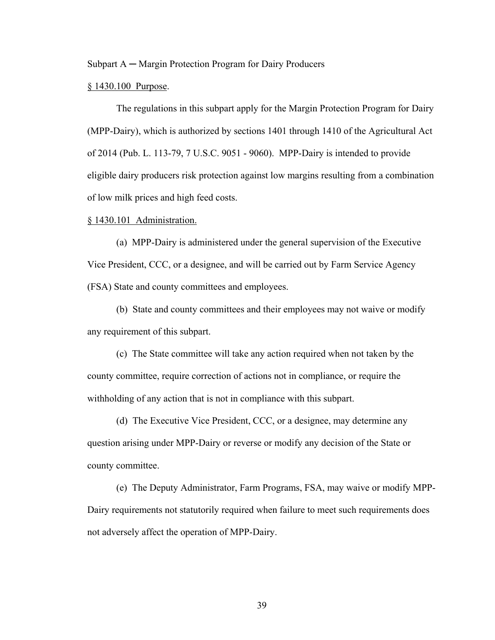Subpart A ─ Margin Protection Program for Dairy Producers

### § 1430.100 Purpose.

 The regulations in this subpart apply for the Margin Protection Program for Dairy (MPP-Dairy), which is authorized by sections 1401 through 1410 of the Agricultural Act of 2014 (Pub. L. 113-79, 7 U.S.C. 9051 - 9060). MPP-Dairy is intended to provide eligible dairy producers risk protection against low margins resulting from a combination of low milk prices and high feed costs.

#### § 1430.101 Administration.

 (a) MPP-Dairy is administered under the general supervision of the Executive Vice President, CCC, or a designee, and will be carried out by Farm Service Agency (FSA) State and county committees and employees.

 (b) State and county committees and their employees may not waive or modify any requirement of this subpart.

 (c) The State committee will take any action required when not taken by the county committee, require correction of actions not in compliance, or require the withholding of any action that is not in compliance with this subpart.

 (d) The Executive Vice President, CCC, or a designee, may determine any question arising under MPP-Dairy or reverse or modify any decision of the State or county committee.

 (e) The Deputy Administrator, Farm Programs, FSA, may waive or modify MPP-Dairy requirements not statutorily required when failure to meet such requirements does not adversely affect the operation of MPP-Dairy.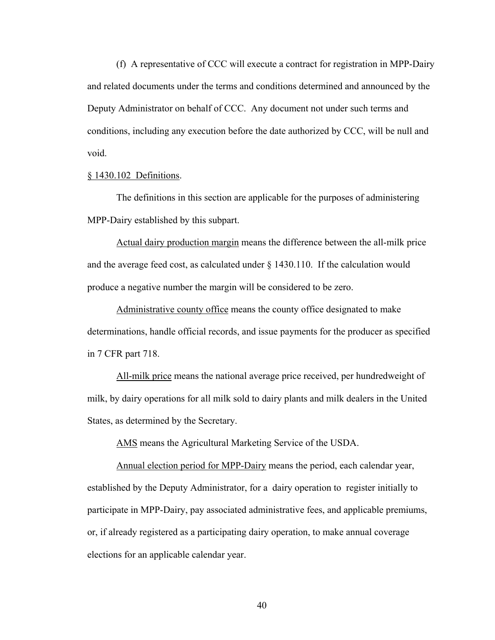(f) A representative of CCC will execute a contract for registration in MPP-Dairy and related documents under the terms and conditions determined and announced by the Deputy Administrator on behalf of CCC. Any document not under such terms and conditions, including any execution before the date authorized by CCC, will be null and void.

## § 1430.102 Definitions.

The definitions in this section are applicable for the purposes of administering MPP-Dairy established by this subpart.

Actual dairy production margin means the difference between the all-milk price and the average feed cost, as calculated under § 1430.110. If the calculation would produce a negative number the margin will be considered to be zero.

Administrative county office means the county office designated to make determinations, handle official records, and issue payments for the producer as specified in 7 CFR part 718.

All-milk price means the national average price received, per hundredweight of milk, by dairy operations for all milk sold to dairy plants and milk dealers in the United States, as determined by the Secretary.

AMS means the Agricultural Marketing Service of the USDA.

Annual election period for MPP-Dairy means the period, each calendar year, established by the Deputy Administrator, for a dairy operation to register initially to participate in MPP-Dairy, pay associated administrative fees, and applicable premiums, or, if already registered as a participating dairy operation, to make annual coverage elections for an applicable calendar year.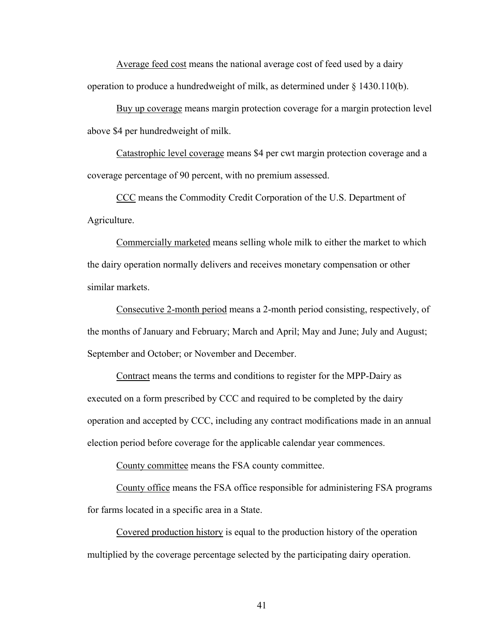Average feed cost means the national average cost of feed used by a dairy operation to produce a hundredweight of milk, as determined under § 1430.110(b).

Buy up coverage means margin protection coverage for a margin protection level above \$4 per hundredweight of milk.

Catastrophic level coverage means \$4 per cwt margin protection coverage and a coverage percentage of 90 percent, with no premium assessed.

CCC means the Commodity Credit Corporation of the U.S. Department of Agriculture.

Commercially marketed means selling whole milk to either the market to which the dairy operation normally delivers and receives monetary compensation or other similar markets.

Consecutive 2-month period means a 2-month period consisting, respectively, of the months of January and February; March and April; May and June; July and August; September and October; or November and December.

Contract means the terms and conditions to register for the MPP-Dairy as executed on a form prescribed by CCC and required to be completed by the dairy operation and accepted by CCC, including any contract modifications made in an annual election period before coverage for the applicable calendar year commences.

County committee means the FSA county committee.

County office means the FSA office responsible for administering FSA programs for farms located in a specific area in a State.

Covered production history is equal to the production history of the operation multiplied by the coverage percentage selected by the participating dairy operation.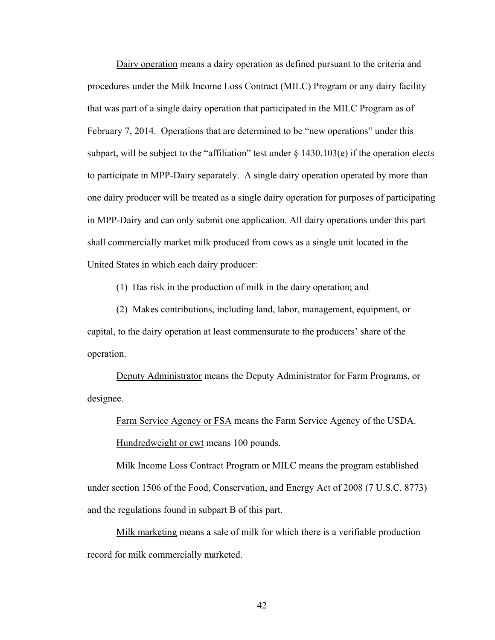Dairy operation means a dairy operation as defined pursuant to the criteria and procedures under the Milk Income Loss Contract (MILC) Program or any dairy facility that was part of a single dairy operation that participated in the MILC Program as of February 7, 2014. Operations that are determined to be "new operations" under this subpart, will be subject to the "affiliation" test under  $\S$  1430.103(e) if the operation elects to participate in MPP-Dairy separately. A single dairy operation operated by more than one dairy producer will be treated as a single dairy operation for purposes of participating in MPP-Dairy and can only submit one application. All dairy operations under this part shall commercially market milk produced from cows as a single unit located in the United States in which each dairy producer:

(1) Has risk in the production of milk in the dairy operation; and

(2) Makes contributions, including land, labor, management, equipment, or capital, to the dairy operation at least commensurate to the producers' share of the operation.

Deputy Administrator means the Deputy Administrator for Farm Programs, or designee.

Farm Service Agency or FSA means the Farm Service Agency of the USDA. Hundredweight or cwt means 100 pounds.

 Milk Income Loss Contract Program or MILC means the program established under section 1506 of the Food, Conservation, and Energy Act of 2008 (7 U.S.C. 8773) and the regulations found in subpart B of this part.

 Milk marketing means a sale of milk for which there is a verifiable production record for milk commercially marketed.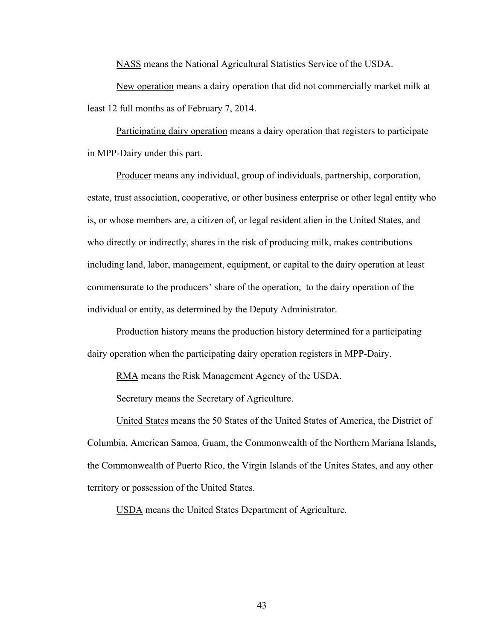NASS means the National Agricultural Statistics Service of the USDA.

 New operation means a dairy operation that did not commercially market milk at least 12 full months as of February 7, 2014.

Participating dairy operation means a dairy operation that registers to participate in MPP-Dairy under this part.

 Producer means any individual, group of individuals, partnership, corporation, estate, trust association, cooperative, or other business enterprise or other legal entity who is, or whose members are, a citizen of, or legal resident alien in the United States, and who directly or indirectly, shares in the risk of producing milk, makes contributions including land, labor, management, equipment, or capital to the dairy operation at least commensurate to the producers' share of the operation, to the dairy operation of the individual or entity, as determined by the Deputy Administrator.

Production history means the production history determined for a participating dairy operation when the participating dairy operation registers in MPP-Dairy.

RMA means the Risk Management Agency of the USDA.

Secretary means the Secretary of Agriculture.

United States means the 50 States of the United States of America, the District of Columbia, American Samoa, Guam, the Commonwealth of the Northern Mariana Islands, the Commonwealth of Puerto Rico, the Virgin Islands of the Unites States, and any other territory or possession of the United States.

USDA means the United States Department of Agriculture.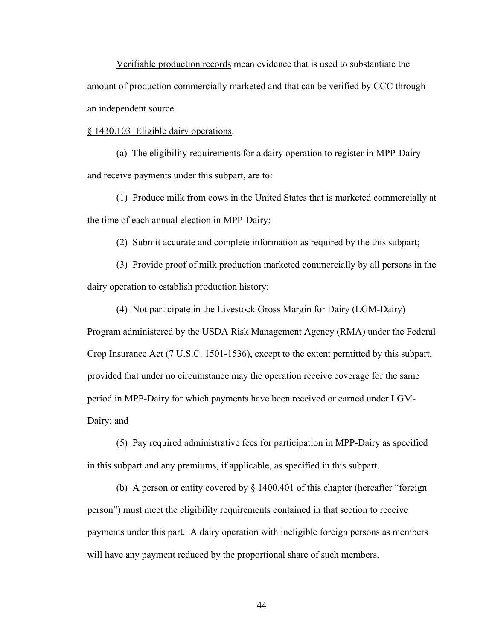Verifiable production records mean evidence that is used to substantiate the amount of production commercially marketed and that can be verified by CCC through an independent source.

## § 1430.103 Eligible dairy operations.

 (a) The eligibility requirements for a dairy operation to register in MPP-Dairy and receive payments under this subpart, are to:

 (1) Produce milk from cows in the United States that is marketed commercially at the time of each annual election in MPP-Dairy;

(2) Submit accurate and complete information as required by the this subpart;

 (3) Provide proof of milk production marketed commercially by all persons in the dairy operation to establish production history;

 (4) Not participate in the Livestock Gross Margin for Dairy (LGM-Dairy) Program administered by the USDA Risk Management Agency (RMA) under the Federal Crop Insurance Act (7 U.S.C. 1501-1536), except to the extent permitted by this subpart, provided that under no circumstance may the operation receive coverage for the same period in MPP-Dairy for which payments have been received or earned under LGM-Dairy; and

 (5) Pay required administrative fees for participation in MPP-Dairy as specified in this subpart and any premiums, if applicable, as specified in this subpart.

(b) A person or entity covered by § 1400.401 of this chapter (hereafter "foreign person") must meet the eligibility requirements contained in that section to receive payments under this part. A dairy operation with ineligible foreign persons as members will have any payment reduced by the proportional share of such members.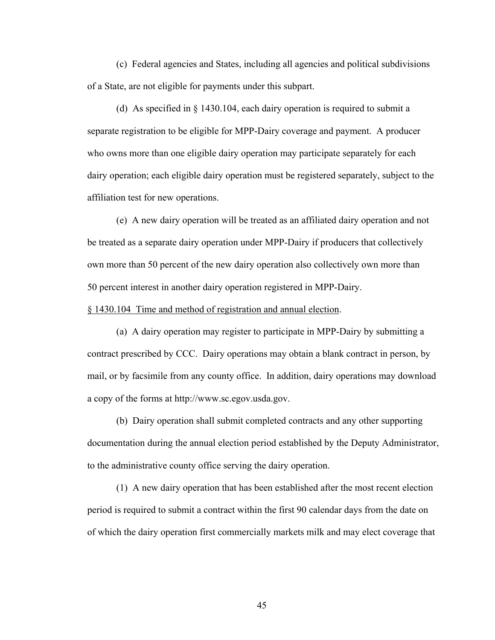(c) Federal agencies and States, including all agencies and political subdivisions of a State, are not eligible for payments under this subpart.

(d) As specified in § 1430.104, each dairy operation is required to submit a separate registration to be eligible for MPP-Dairy coverage and payment. A producer who owns more than one eligible dairy operation may participate separately for each dairy operation; each eligible dairy operation must be registered separately, subject to the affiliation test for new operations.

(e) A new dairy operation will be treated as an affiliated dairy operation and not be treated as a separate dairy operation under MPP-Dairy if producers that collectively own more than 50 percent of the new dairy operation also collectively own more than 50 percent interest in another dairy operation registered in MPP-Dairy.

# § 1430.104 Time and method of registration and annual election.

 (a) A dairy operation may register to participate in MPP-Dairy by submitting a contract prescribed by CCC. Dairy operations may obtain a blank contract in person, by mail, or by facsimile from any county office. In addition, dairy operations may download a copy of the forms at http://www.sc.egov.usda.gov.

 (b) Dairy operation shall submit completed contracts and any other supporting documentation during the annual election period established by the Deputy Administrator, to the administrative county office serving the dairy operation.

 (1) A new dairy operation that has been established after the most recent election period is required to submit a contract within the first 90 calendar days from the date on of which the dairy operation first commercially markets milk and may elect coverage that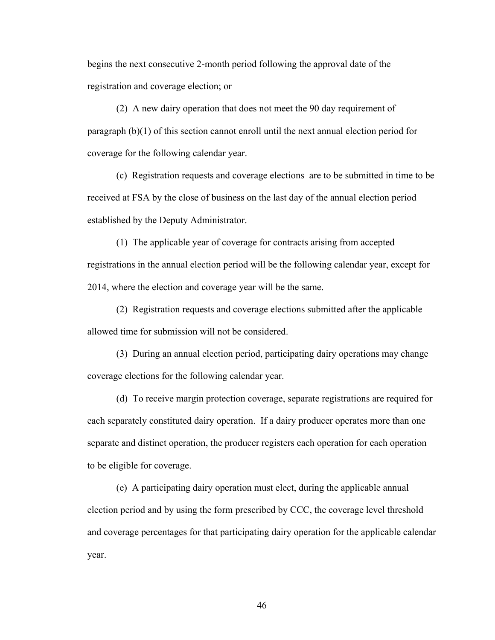begins the next consecutive 2-month period following the approval date of the registration and coverage election; or

 (2) A new dairy operation that does not meet the 90 day requirement of paragraph (b)(1) of this section cannot enroll until the next annual election period for coverage for the following calendar year.

 (c) Registration requests and coverage elections are to be submitted in time to be received at FSA by the close of business on the last day of the annual election period established by the Deputy Administrator.

 (1) The applicable year of coverage for contracts arising from accepted registrations in the annual election period will be the following calendar year, except for 2014, where the election and coverage year will be the same.

 (2) Registration requests and coverage elections submitted after the applicable allowed time for submission will not be considered.

 (3) During an annual election period, participating dairy operations may change coverage elections for the following calendar year.

(d) To receive margin protection coverage, separate registrations are required for each separately constituted dairy operation. If a dairy producer operates more than one separate and distinct operation, the producer registers each operation for each operation to be eligible for coverage.

(e) A participating dairy operation must elect, during the applicable annual election period and by using the form prescribed by CCC, the coverage level threshold and coverage percentages for that participating dairy operation for the applicable calendar year.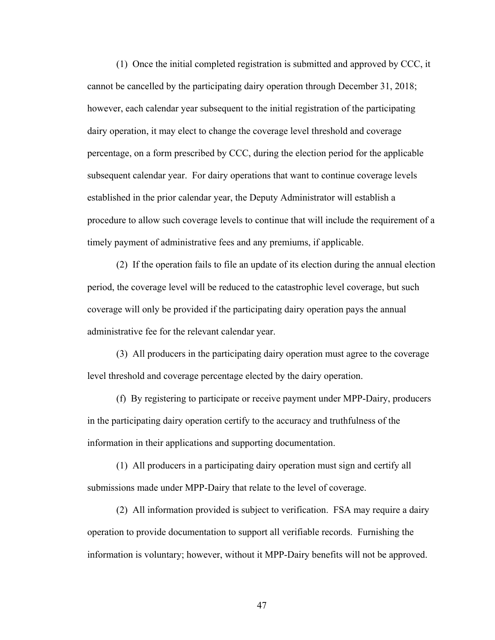(1) Once the initial completed registration is submitted and approved by CCC, it cannot be cancelled by the participating dairy operation through December 31, 2018; however, each calendar year subsequent to the initial registration of the participating dairy operation, it may elect to change the coverage level threshold and coverage percentage, on a form prescribed by CCC, during the election period for the applicable subsequent calendar year. For dairy operations that want to continue coverage levels established in the prior calendar year, the Deputy Administrator will establish a procedure to allow such coverage levels to continue that will include the requirement of a timely payment of administrative fees and any premiums, if applicable.

(2) If the operation fails to file an update of its election during the annual election period, the coverage level will be reduced to the catastrophic level coverage, but such coverage will only be provided if the participating dairy operation pays the annual administrative fee for the relevant calendar year.

(3) All producers in the participating dairy operation must agree to the coverage level threshold and coverage percentage elected by the dairy operation.

 (f) By registering to participate or receive payment under MPP-Dairy, producers in the participating dairy operation certify to the accuracy and truthfulness of the information in their applications and supporting documentation.

 (1) All producers in a participating dairy operation must sign and certify all submissions made under MPP-Dairy that relate to the level of coverage.

 (2) All information provided is subject to verification. FSA may require a dairy operation to provide documentation to support all verifiable records. Furnishing the information is voluntary; however, without it MPP-Dairy benefits will not be approved.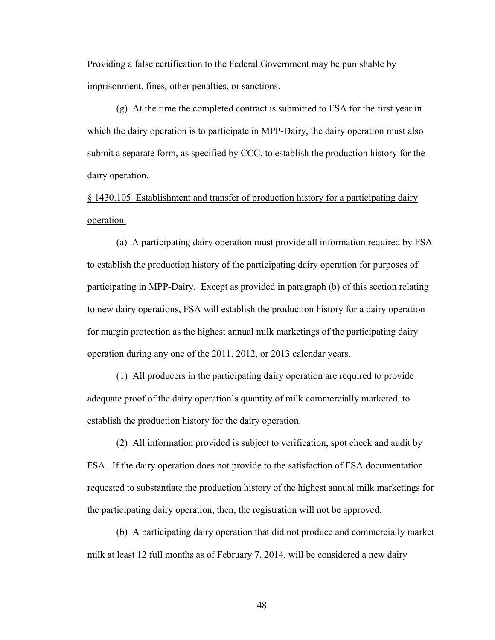Providing a false certification to the Federal Government may be punishable by imprisonment, fines, other penalties, or sanctions.

 (g) At the time the completed contract is submitted to FSA for the first year in which the dairy operation is to participate in MPP-Dairy, the dairy operation must also submit a separate form, as specified by CCC, to establish the production history for the dairy operation.

§ 1430.105 Establishment and transfer of production history for a participating dairy operation.

(a) A participating dairy operation must provide all information required by FSA to establish the production history of the participating dairy operation for purposes of participating in MPP-Dairy. Except as provided in paragraph (b) of this section relating to new dairy operations, FSA will establish the production history for a dairy operation for margin protection as the highest annual milk marketings of the participating dairy operation during any one of the 2011, 2012, or 2013 calendar years.

(1) All producers in the participating dairy operation are required to provide adequate proof of the dairy operation's quantity of milk commercially marketed, to establish the production history for the dairy operation.

(2) All information provided is subject to verification, spot check and audit by FSA. If the dairy operation does not provide to the satisfaction of FSA documentation requested to substantiate the production history of the highest annual milk marketings for the participating dairy operation, then, the registration will not be approved.

(b) A participating dairy operation that did not produce and commercially market milk at least 12 full months as of February 7, 2014, will be considered a new dairy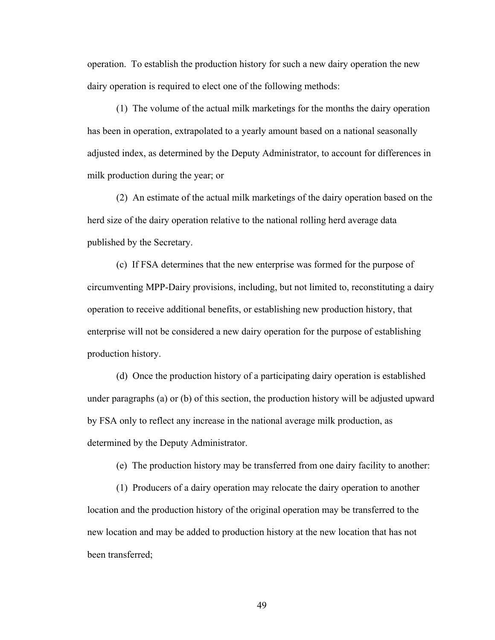operation. To establish the production history for such a new dairy operation the new dairy operation is required to elect one of the following methods:

(1) The volume of the actual milk marketings for the months the dairy operation has been in operation, extrapolated to a yearly amount based on a national seasonally adjusted index, as determined by the Deputy Administrator, to account for differences in milk production during the year; or

(2) An estimate of the actual milk marketings of the dairy operation based on the herd size of the dairy operation relative to the national rolling herd average data published by the Secretary.

(c) If FSA determines that the new enterprise was formed for the purpose of circumventing MPP-Dairy provisions, including, but not limited to, reconstituting a dairy operation to receive additional benefits, or establishing new production history, that enterprise will not be considered a new dairy operation for the purpose of establishing production history.

(d) Once the production history of a participating dairy operation is established under paragraphs (a) or (b) of this section, the production history will be adjusted upward by FSA only to reflect any increase in the national average milk production, as determined by the Deputy Administrator.

(e) The production history may be transferred from one dairy facility to another:

(1) Producers of a dairy operation may relocate the dairy operation to another location and the production history of the original operation may be transferred to the new location and may be added to production history at the new location that has not been transferred;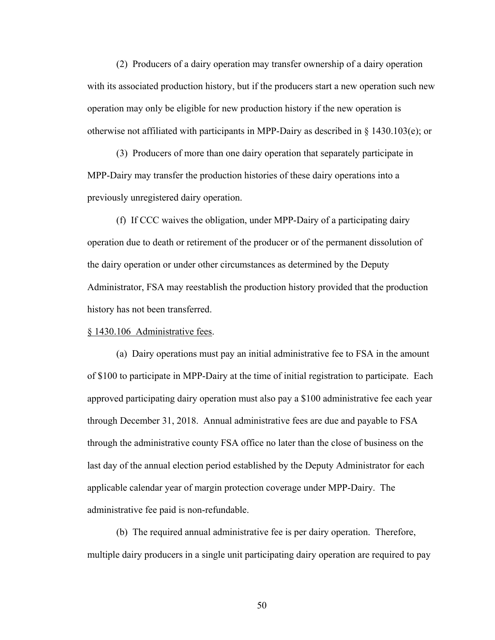(2) Producers of a dairy operation may transfer ownership of a dairy operation with its associated production history, but if the producers start a new operation such new operation may only be eligible for new production history if the new operation is otherwise not affiliated with participants in MPP-Dairy as described in § 1430.103(e); or

(3) Producers of more than one dairy operation that separately participate in MPP-Dairy may transfer the production histories of these dairy operations into a previously unregistered dairy operation.

(f) If CCC waives the obligation, under MPP-Dairy of a participating dairy operation due to death or retirement of the producer or of the permanent dissolution of the dairy operation or under other circumstances as determined by the Deputy Administrator, FSA may reestablish the production history provided that the production history has not been transferred.

# § 1430.106 Administrative fees.

 (a) Dairy operations must pay an initial administrative fee to FSA in the amount of \$100 to participate in MPP-Dairy at the time of initial registration to participate. Each approved participating dairy operation must also pay a \$100 administrative fee each year through December 31, 2018. Annual administrative fees are due and payable to FSA through the administrative county FSA office no later than the close of business on the last day of the annual election period established by the Deputy Administrator for each applicable calendar year of margin protection coverage under MPP-Dairy. The administrative fee paid is non-refundable.

 (b) The required annual administrative fee is per dairy operation. Therefore, multiple dairy producers in a single unit participating dairy operation are required to pay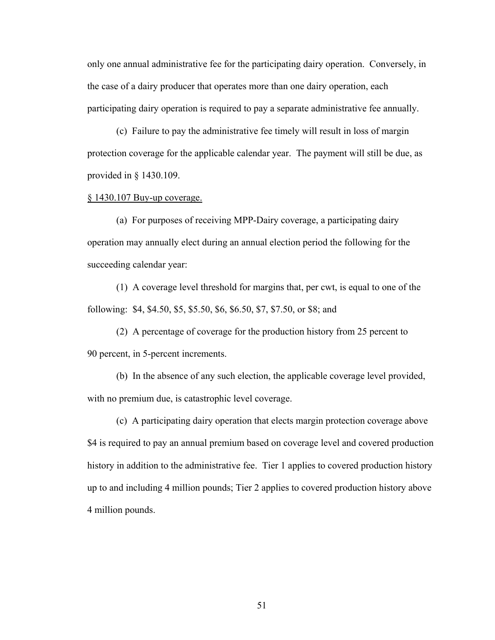only one annual administrative fee for the participating dairy operation. Conversely, in the case of a dairy producer that operates more than one dairy operation, each participating dairy operation is required to pay a separate administrative fee annually.

 (c) Failure to pay the administrative fee timely will result in loss of margin protection coverage for the applicable calendar year. The payment will still be due, as provided in § 1430.109.

#### § 1430.107 Buy-up coverage.

(a) For purposes of receiving MPP-Dairy coverage, a participating dairy operation may annually elect during an annual election period the following for the succeeding calendar year:

(1) A coverage level threshold for margins that, per cwt, is equal to one of the following: \$4, \$4.50, \$5, \$5.50, \$6, \$6.50, \$7, \$7.50, or \$8; and

(2) A percentage of coverage for the production history from 25 percent to 90 percent, in 5-percent increments.

 (b) In the absence of any such election, the applicable coverage level provided, with no premium due, is catastrophic level coverage.

 (c) A participating dairy operation that elects margin protection coverage above \$4 is required to pay an annual premium based on coverage level and covered production history in addition to the administrative fee. Tier 1 applies to covered production history up to and including 4 million pounds; Tier 2 applies to covered production history above 4 million pounds.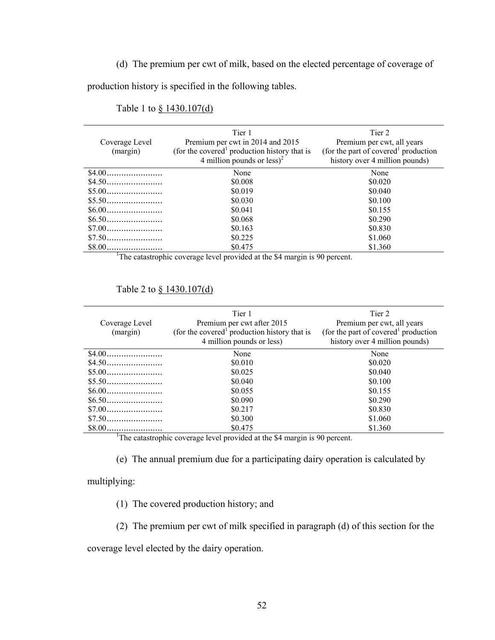# (d) The premium per cwt of milk, based on the elected percentage of coverage of

production history is specified in the following tables.

| Coverage Level<br>(margin)                                                             | Tier 1<br>Premium per cwt in 2014 and 2015<br>(for the covered <sup>1</sup> production history that is<br>4 million pounds or $less)^2$ | Tier 2<br>Premium per cwt, all years<br>(for the part of covered <sup>1</sup> production<br>history over 4 million pounds) |  |  |  |
|----------------------------------------------------------------------------------------|-----------------------------------------------------------------------------------------------------------------------------------------|----------------------------------------------------------------------------------------------------------------------------|--|--|--|
|                                                                                        | None                                                                                                                                    | None                                                                                                                       |  |  |  |
|                                                                                        | \$0.008                                                                                                                                 | \$0.020                                                                                                                    |  |  |  |
|                                                                                        | \$0.019                                                                                                                                 | \$0.040                                                                                                                    |  |  |  |
| $$5.50$                                                                                | \$0.030                                                                                                                                 | \$0.100                                                                                                                    |  |  |  |
|                                                                                        | \$0.041                                                                                                                                 | \$0.155                                                                                                                    |  |  |  |
|                                                                                        | \$0.068                                                                                                                                 | \$0.290                                                                                                                    |  |  |  |
|                                                                                        | \$0.163                                                                                                                                 | \$0.830                                                                                                                    |  |  |  |
|                                                                                        | \$0.225                                                                                                                                 | \$1.060                                                                                                                    |  |  |  |
|                                                                                        | \$0.475                                                                                                                                 | \$1.360                                                                                                                    |  |  |  |
| <sup>1</sup> The catastrophic coverage level provided at the \$4 margin is 90 percent. |                                                                                                                                         |                                                                                                                            |  |  |  |

# Table 1 to § 1430.107(d)

### Table 2 to § 1430.107(d)

| Coverage Level<br>(margin)                                                             | Tier 1<br>Premium per cwt after 2015<br>(for the covered <sup>1</sup> production history that is<br>4 million pounds or less) | Tier 2<br>Premium per cwt, all years<br>(for the part of covered <sup>1</sup> production)<br>history over 4 million pounds) |  |  |  |
|----------------------------------------------------------------------------------------|-------------------------------------------------------------------------------------------------------------------------------|-----------------------------------------------------------------------------------------------------------------------------|--|--|--|
|                                                                                        | None                                                                                                                          | None                                                                                                                        |  |  |  |
|                                                                                        | \$0.010                                                                                                                       | \$0.020                                                                                                                     |  |  |  |
|                                                                                        | \$0.025                                                                                                                       | \$0.040                                                                                                                     |  |  |  |
|                                                                                        | \$0.040                                                                                                                       | \$0.100                                                                                                                     |  |  |  |
|                                                                                        | \$0.055                                                                                                                       | \$0.155                                                                                                                     |  |  |  |
|                                                                                        | \$0.090                                                                                                                       | \$0.290                                                                                                                     |  |  |  |
|                                                                                        | \$0.217                                                                                                                       | \$0.830                                                                                                                     |  |  |  |
|                                                                                        | \$0.300                                                                                                                       | \$1.060                                                                                                                     |  |  |  |
|                                                                                        | \$0.475                                                                                                                       | \$1.360                                                                                                                     |  |  |  |
| <sup>1</sup> The catastrophic coverage level provided at the \$4 margin is 90 percent. |                                                                                                                               |                                                                                                                             |  |  |  |

(e) The annual premium due for a participating dairy operation is calculated by

multiplying:

(1) The covered production history; and

(2) The premium per cwt of milk specified in paragraph (d) of this section for the

coverage level elected by the dairy operation.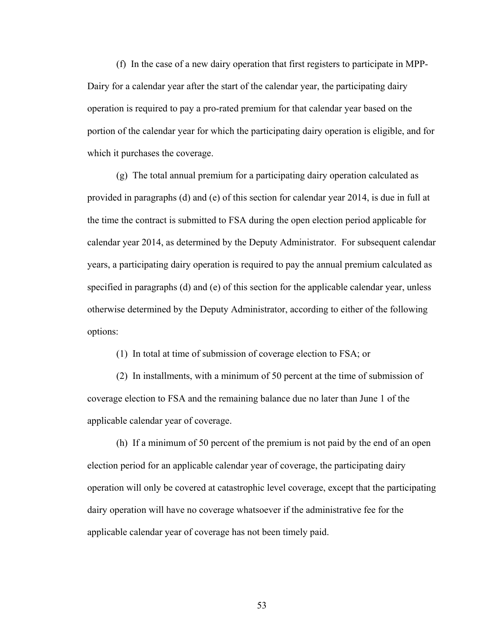(f) In the case of a new dairy operation that first registers to participate in MPP-Dairy for a calendar year after the start of the calendar year, the participating dairy operation is required to pay a pro-rated premium for that calendar year based on the portion of the calendar year for which the participating dairy operation is eligible, and for which it purchases the coverage.

(g) The total annual premium for a participating dairy operation calculated as provided in paragraphs (d) and (e) of this section for calendar year 2014, is due in full at the time the contract is submitted to FSA during the open election period applicable for calendar year 2014, as determined by the Deputy Administrator. For subsequent calendar years, a participating dairy operation is required to pay the annual premium calculated as specified in paragraphs (d) and (e) of this section for the applicable calendar year, unless otherwise determined by the Deputy Administrator, according to either of the following options:

(1) In total at time of submission of coverage election to FSA; or

(2) In installments, with a minimum of 50 percent at the time of submission of coverage election to FSA and the remaining balance due no later than June 1 of the applicable calendar year of coverage.

(h) If a minimum of 50 percent of the premium is not paid by the end of an open election period for an applicable calendar year of coverage, the participating dairy operation will only be covered at catastrophic level coverage, except that the participating dairy operation will have no coverage whatsoever if the administrative fee for the applicable calendar year of coverage has not been timely paid.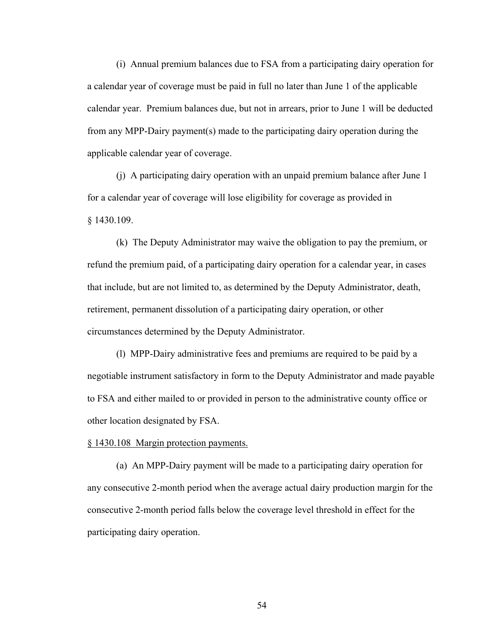(i) Annual premium balances due to FSA from a participating dairy operation for a calendar year of coverage must be paid in full no later than June 1 of the applicable calendar year. Premium balances due, but not in arrears, prior to June 1 will be deducted from any MPP-Dairy payment(s) made to the participating dairy operation during the applicable calendar year of coverage.

(j) A participating dairy operation with an unpaid premium balance after June 1 for a calendar year of coverage will lose eligibility for coverage as provided in § 1430.109.

(k) The Deputy Administrator may waive the obligation to pay the premium, or refund the premium paid, of a participating dairy operation for a calendar year, in cases that include, but are not limited to, as determined by the Deputy Administrator, death, retirement, permanent dissolution of a participating dairy operation, or other circumstances determined by the Deputy Administrator.

 (l) MPP-Dairy administrative fees and premiums are required to be paid by a negotiable instrument satisfactory in form to the Deputy Administrator and made payable to FSA and either mailed to or provided in person to the administrative county office or other location designated by FSA.

# § 1430.108 Margin protection payments.

(a) An MPP-Dairy payment will be made to a participating dairy operation for any consecutive 2-month period when the average actual dairy production margin for the consecutive 2-month period falls below the coverage level threshold in effect for the participating dairy operation.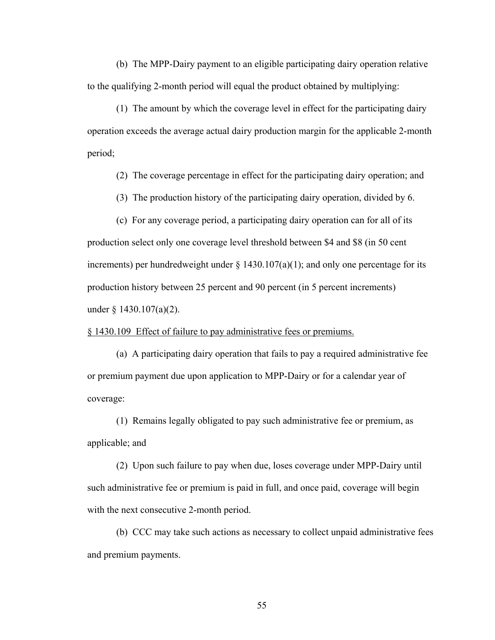(b) The MPP-Dairy payment to an eligible participating dairy operation relative to the qualifying 2-month period will equal the product obtained by multiplying:

(1) The amount by which the coverage level in effect for the participating dairy operation exceeds the average actual dairy production margin for the applicable 2-month period;

(2) The coverage percentage in effect for the participating dairy operation; and

(3) The production history of the participating dairy operation, divided by 6.

(c) For any coverage period, a participating dairy operation can for all of its production select only one coverage level threshold between \$4 and \$8 (in 50 cent increments) per hundredweight under  $\S$  1430.107(a)(1); and only one percentage for its production history between 25 percent and 90 percent (in 5 percent increments) under § 1430.107(a)(2).

§ 1430.109 Effect of failure to pay administrative fees or premiums.

(a) A participating dairy operation that fails to pay a required administrative fee or premium payment due upon application to MPP-Dairy or for a calendar year of coverage:

(1) Remains legally obligated to pay such administrative fee or premium, as applicable; and

(2) Upon such failure to pay when due, loses coverage under MPP-Dairy until such administrative fee or premium is paid in full, and once paid, coverage will begin with the next consecutive 2-month period.

(b) CCC may take such actions as necessary to collect unpaid administrative fees and premium payments.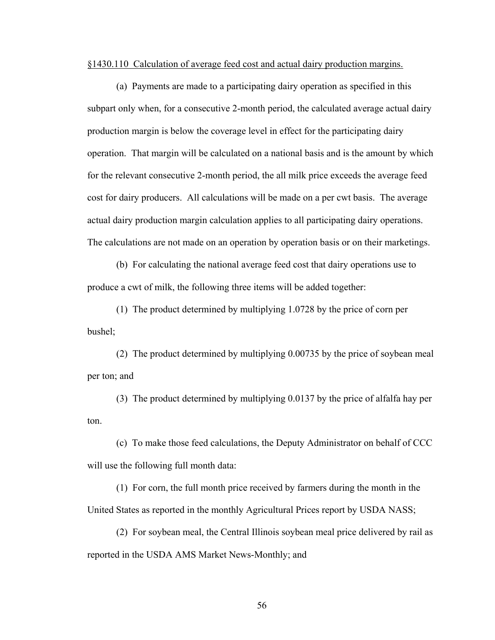§1430.110 Calculation of average feed cost and actual dairy production margins.

(a) Payments are made to a participating dairy operation as specified in this subpart only when, for a consecutive 2-month period, the calculated average actual dairy production margin is below the coverage level in effect for the participating dairy operation. That margin will be calculated on a national basis and is the amount by which for the relevant consecutive 2-month period, the all milk price exceeds the average feed cost for dairy producers. All calculations will be made on a per cwt basis. The average actual dairy production margin calculation applies to all participating dairy operations. The calculations are not made on an operation by operation basis or on their marketings.

(b) For calculating the national average feed cost that dairy operations use to produce a cwt of milk, the following three items will be added together:

(1) The product determined by multiplying 1.0728 by the price of corn per bushel;

(2) The product determined by multiplying 0.00735 by the price of soybean meal per ton; and

(3) The product determined by multiplying 0.0137 by the price of alfalfa hay per ton.

(c) To make those feed calculations, the Deputy Administrator on behalf of CCC will use the following full month data:

(1) For corn, the full month price received by farmers during the month in the United States as reported in the monthly Agricultural Prices report by USDA NASS;

(2) For soybean meal, the Central Illinois soybean meal price delivered by rail as reported in the USDA AMS Market News-Monthly; and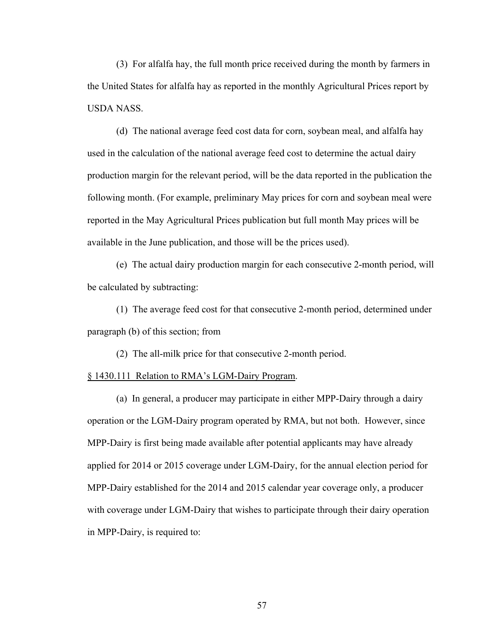(3) For alfalfa hay, the full month price received during the month by farmers in the United States for alfalfa hay as reported in the monthly Agricultural Prices report by USDA NASS.

(d) The national average feed cost data for corn, soybean meal, and alfalfa hay used in the calculation of the national average feed cost to determine the actual dairy production margin for the relevant period, will be the data reported in the publication the following month. (For example, preliminary May prices for corn and soybean meal were reported in the May Agricultural Prices publication but full month May prices will be available in the June publication, and those will be the prices used).

(e) The actual dairy production margin for each consecutive 2-month period, will be calculated by subtracting:

 (1) The average feed cost for that consecutive 2-month period, determined under paragraph (b) of this section; from

(2) The all-milk price for that consecutive 2-month period.

## § 1430.111 Relation to RMA's LGM-Dairy Program.

 (a) In general, a producer may participate in either MPP-Dairy through a dairy operation or the LGM-Dairy program operated by RMA, but not both. However, since MPP-Dairy is first being made available after potential applicants may have already applied for 2014 or 2015 coverage under LGM-Dairy, for the annual election period for MPP-Dairy established for the 2014 and 2015 calendar year coverage only, a producer with coverage under LGM-Dairy that wishes to participate through their dairy operation in MPP-Dairy, is required to: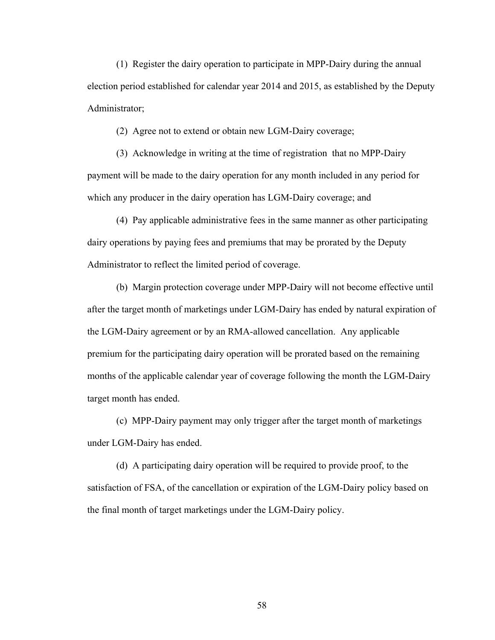(1) Register the dairy operation to participate in MPP-Dairy during the annual election period established for calendar year 2014 and 2015, as established by the Deputy Administrator;

(2) Agree not to extend or obtain new LGM-Dairy coverage;

 (3) Acknowledge in writing at the time of registration that no MPP-Dairy payment will be made to the dairy operation for any month included in any period for which any producer in the dairy operation has LGM-Dairy coverage; and

(4) Pay applicable administrative fees in the same manner as other participating dairy operations by paying fees and premiums that may be prorated by the Deputy Administrator to reflect the limited period of coverage.

 (b) Margin protection coverage under MPP-Dairy will not become effective until after the target month of marketings under LGM-Dairy has ended by natural expiration of the LGM-Dairy agreement or by an RMA-allowed cancellation. Any applicable premium for the participating dairy operation will be prorated based on the remaining months of the applicable calendar year of coverage following the month the LGM-Dairy target month has ended.

 (c) MPP-Dairy payment may only trigger after the target month of marketings under LGM-Dairy has ended.

 (d) A participating dairy operation will be required to provide proof, to the satisfaction of FSA, of the cancellation or expiration of the LGM-Dairy policy based on the final month of target marketings under the LGM-Dairy policy.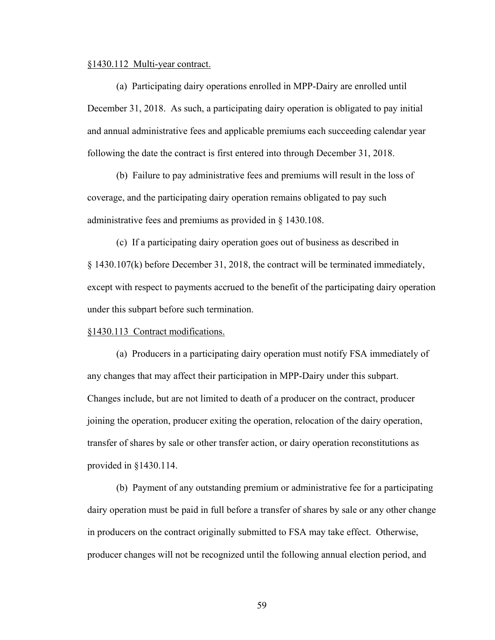#### §1430.112 Multi-year contract.

(a) Participating dairy operations enrolled in MPP-Dairy are enrolled until December 31, 2018. As such, a participating dairy operation is obligated to pay initial and annual administrative fees and applicable premiums each succeeding calendar year following the date the contract is first entered into through December 31, 2018.

(b) Failure to pay administrative fees and premiums will result in the loss of coverage, and the participating dairy operation remains obligated to pay such administrative fees and premiums as provided in § 1430.108.

(c) If a participating dairy operation goes out of business as described in § 1430.107(k) before December 31, 2018, the contract will be terminated immediately, except with respect to payments accrued to the benefit of the participating dairy operation under this subpart before such termination.

# §1430.113 Contract modifications.

(a) Producers in a participating dairy operation must notify FSA immediately of any changes that may affect their participation in MPP-Dairy under this subpart. Changes include, but are not limited to death of a producer on the contract, producer joining the operation, producer exiting the operation, relocation of the dairy operation, transfer of shares by sale or other transfer action, or dairy operation reconstitutions as provided in §1430.114.

(b) Payment of any outstanding premium or administrative fee for a participating dairy operation must be paid in full before a transfer of shares by sale or any other change in producers on the contract originally submitted to FSA may take effect. Otherwise, producer changes will not be recognized until the following annual election period, and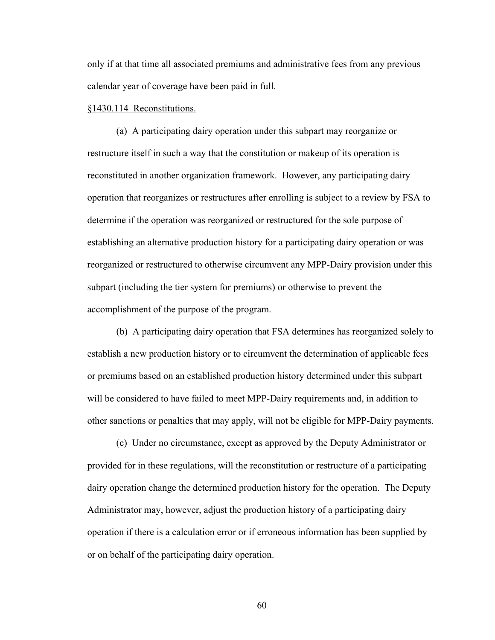only if at that time all associated premiums and administrative fees from any previous calendar year of coverage have been paid in full.

# §1430.114 Reconstitutions.

 (a) A participating dairy operation under this subpart may reorganize or restructure itself in such a way that the constitution or makeup of its operation is reconstituted in another organization framework. However, any participating dairy operation that reorganizes or restructures after enrolling is subject to a review by FSA to determine if the operation was reorganized or restructured for the sole purpose of establishing an alternative production history for a participating dairy operation or was reorganized or restructured to otherwise circumvent any MPP-Dairy provision under this subpart (including the tier system for premiums) or otherwise to prevent the accomplishment of the purpose of the program.

 (b) A participating dairy operation that FSA determines has reorganized solely to establish a new production history or to circumvent the determination of applicable fees or premiums based on an established production history determined under this subpart will be considered to have failed to meet MPP-Dairy requirements and, in addition to other sanctions or penalties that may apply, will not be eligible for MPP-Dairy payments.

(c) Under no circumstance, except as approved by the Deputy Administrator or provided for in these regulations, will the reconstitution or restructure of a participating dairy operation change the determined production history for the operation. The Deputy Administrator may, however, adjust the production history of a participating dairy operation if there is a calculation error or if erroneous information has been supplied by or on behalf of the participating dairy operation.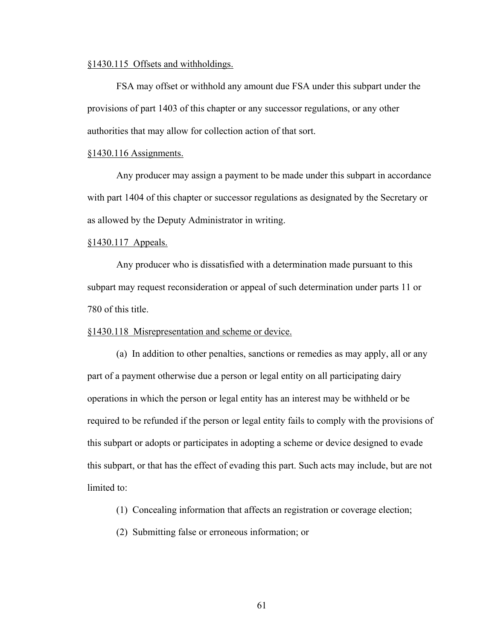# §1430.115 Offsets and withholdings.

FSA may offset or withhold any amount due FSA under this subpart under the provisions of part 1403 of this chapter or any successor regulations, or any other authorities that may allow for collection action of that sort.

#### §1430.116 Assignments.

 Any producer may assign a payment to be made under this subpart in accordance with part 1404 of this chapter or successor regulations as designated by the Secretary or as allowed by the Deputy Administrator in writing.

# §1430.117 Appeals.

 Any producer who is dissatisfied with a determination made pursuant to this subpart may request reconsideration or appeal of such determination under parts 11 or 780 of this title.

# §1430.118 Misrepresentation and scheme or device.

 (a) In addition to other penalties, sanctions or remedies as may apply, all or any part of a payment otherwise due a person or legal entity on all participating dairy operations in which the person or legal entity has an interest may be withheld or be required to be refunded if the person or legal entity fails to comply with the provisions of this subpart or adopts or participates in adopting a scheme or device designed to evade this subpart, or that has the effect of evading this part. Such acts may include, but are not limited to:

(1) Concealing information that affects an registration or coverage election;

(2) Submitting false or erroneous information; or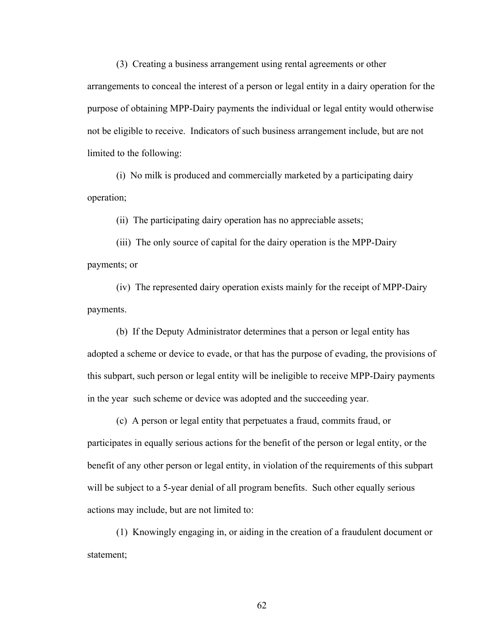(3) Creating a business arrangement using rental agreements or other arrangements to conceal the interest of a person or legal entity in a dairy operation for the purpose of obtaining MPP-Dairy payments the individual or legal entity would otherwise not be eligible to receive. Indicators of such business arrangement include, but are not limited to the following:

(i) No milk is produced and commercially marketed by a participating dairy operation;

(ii) The participating dairy operation has no appreciable assets;

(iii) The only source of capital for the dairy operation is the MPP-Dairy payments; or

(iv) The represented dairy operation exists mainly for the receipt of MPP-Dairy payments.

(b) If the Deputy Administrator determines that a person or legal entity has adopted a scheme or device to evade, or that has the purpose of evading, the provisions of this subpart, such person or legal entity will be ineligible to receive MPP-Dairy payments in the year such scheme or device was adopted and the succeeding year.

(c) A person or legal entity that perpetuates a fraud, commits fraud, or participates in equally serious actions for the benefit of the person or legal entity, or the benefit of any other person or legal entity, in violation of the requirements of this subpart will be subject to a 5-year denial of all program benefits. Such other equally serious actions may include, but are not limited to:

(1) Knowingly engaging in, or aiding in the creation of a fraudulent document or statement;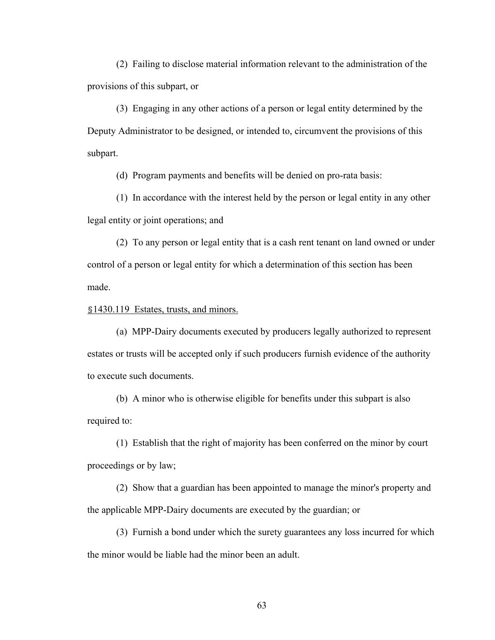(2) Failing to disclose material information relevant to the administration of the provisions of this subpart, or

(3) Engaging in any other actions of a person or legal entity determined by the Deputy Administrator to be designed, or intended to, circumvent the provisions of this subpart.

(d) Program payments and benefits will be denied on pro-rata basis:

(1) In accordance with the interest held by the person or legal entity in any other legal entity or joint operations; and

(2) To any person or legal entity that is a cash rent tenant on land owned or under control of a person or legal entity for which a determination of this section has been made.

§1430.119 Estates, trusts, and minors.

(a) MPP-Dairy documents executed by producers legally authorized to represent estates or trusts will be accepted only if such producers furnish evidence of the authority to execute such documents.

(b) A minor who is otherwise eligible for benefits under this subpart is also required to:

(1) Establish that the right of majority has been conferred on the minor by court proceedings or by law;

(2) Show that a guardian has been appointed to manage the minor's property and the applicable MPP-Dairy documents are executed by the guardian; or

(3) Furnish a bond under which the surety guarantees any loss incurred for which the minor would be liable had the minor been an adult.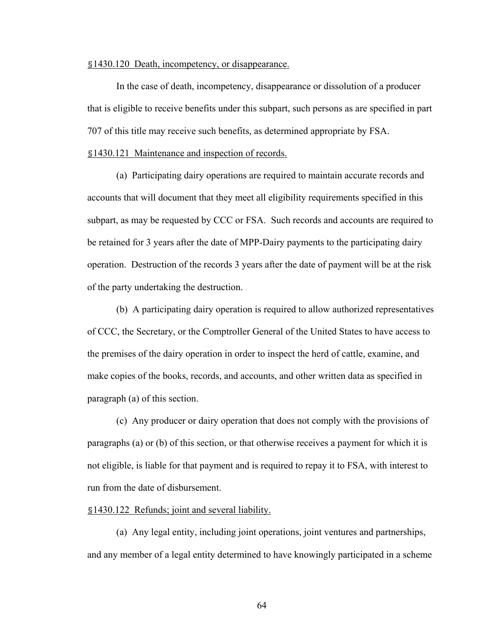# §1430.120 Death, incompetency, or disappearance.

 In the case of death, incompetency, disappearance or dissolution of a producer that is eligible to receive benefits under this subpart, such persons as are specified in part 707 of this title may receive such benefits, as determined appropriate by FSA.

# §1430.121 Maintenance and inspection of records.

(a) Participating dairy operations are required to maintain accurate records and accounts that will document that they meet all eligibility requirements specified in this subpart, as may be requested by CCC or FSA. Such records and accounts are required to be retained for 3 years after the date of MPP-Dairy payments to the participating dairy operation. Destruction of the records 3 years after the date of payment will be at the risk of the party undertaking the destruction.

(b) A participating dairy operation is required to allow authorized representatives of CCC, the Secretary, or the Comptroller General of the United States to have access to the premises of the dairy operation in order to inspect the herd of cattle, examine, and make copies of the books, records, and accounts, and other written data as specified in paragraph (a) of this section.

(c) Any producer or dairy operation that does not comply with the provisions of paragraphs (a) or (b) of this section, or that otherwise receives a payment for which it is not eligible, is liable for that payment and is required to repay it to FSA, with interest to run from the date of disbursement.

# §1430.122 Refunds; joint and several liability.

(a) Any legal entity, including joint operations, joint ventures and partnerships, and any member of a legal entity determined to have knowingly participated in a scheme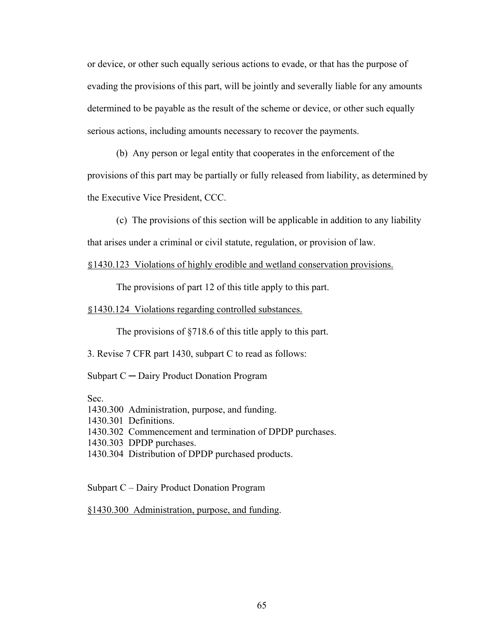or device, or other such equally serious actions to evade, or that has the purpose of evading the provisions of this part, will be jointly and severally liable for any amounts determined to be payable as the result of the scheme or device, or other such equally serious actions, including amounts necessary to recover the payments.

(b) Any person or legal entity that cooperates in the enforcement of the provisions of this part may be partially or fully released from liability, as determined by the Executive Vice President, CCC.

(c) The provisions of this section will be applicable in addition to any liability that arises under a criminal or civil statute, regulation, or provision of law.

# §1430.123 Violations of highly erodible and wetland conservation provisions.

The provisions of part 12 of this title apply to this part.

### §1430.124 Violations regarding controlled substances.

The provisions of §718.6 of this title apply to this part.

3. Revise 7 CFR part 1430, subpart C to read as follows:

Subpart C ─ Dairy Product Donation Program

Sec.

1430.300 Administration, purpose, and funding.

1430.301 Definitions.

1430.302 Commencement and termination of DPDP purchases.

1430.303 DPDP purchases.

1430.304 Distribution of DPDP purchased products.

Subpart C – Dairy Product Donation Program

§1430.300 Administration, purpose, and funding.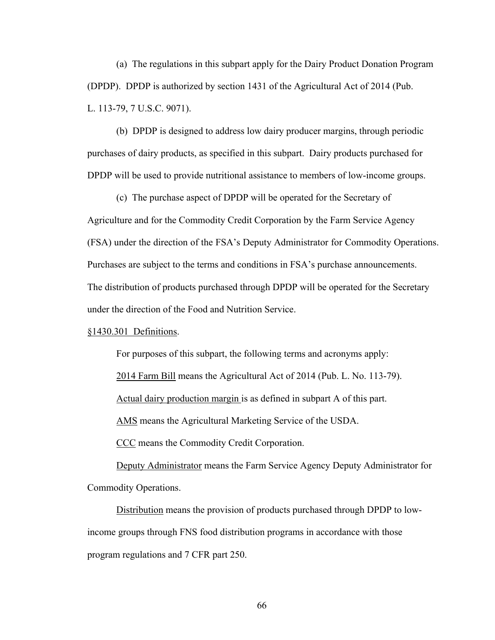(a) The regulations in this subpart apply for the Dairy Product Donation Program (DPDP). DPDP is authorized by section 1431 of the Agricultural Act of 2014 (Pub. L. 113-79, 7 U.S.C. 9071).

 (b) DPDP is designed to address low dairy producer margins, through periodic purchases of dairy products, as specified in this subpart. Dairy products purchased for DPDP will be used to provide nutritional assistance to members of low-income groups.

 (c) The purchase aspect of DPDP will be operated for the Secretary of Agriculture and for the Commodity Credit Corporation by the Farm Service Agency (FSA) under the direction of the FSA's Deputy Administrator for Commodity Operations. Purchases are subject to the terms and conditions in FSA's purchase announcements. The distribution of products purchased through DPDP will be operated for the Secretary under the direction of the Food and Nutrition Service.

# §1430.301 Definitions.

For purposes of this subpart, the following terms and acronyms apply:

2014 Farm Bill means the Agricultural Act of 2014 (Pub. L. No. 113-79).

Actual dairy production margin is as defined in subpart A of this part.

AMS means the Agricultural Marketing Service of the USDA.

CCC means the Commodity Credit Corporation.

Deputy Administrator means the Farm Service Agency Deputy Administrator for Commodity Operations.

Distribution means the provision of products purchased through DPDP to lowincome groups through FNS food distribution programs in accordance with those program regulations and 7 CFR part 250.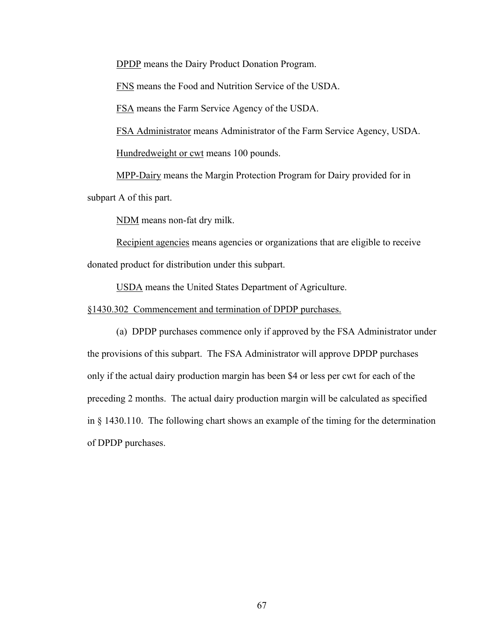DPDP means the Dairy Product Donation Program.

FNS means the Food and Nutrition Service of the USDA.

FSA means the Farm Service Agency of the USDA.

FSA Administrator means Administrator of the Farm Service Agency, USDA.

Hundredweight or cwt means 100 pounds.

MPP-Dairy means the Margin Protection Program for Dairy provided for in subpart A of this part.

NDM means non-fat dry milk.

Recipient agencies means agencies or organizations that are eligible to receive donated product for distribution under this subpart.

USDA means the United States Department of Agriculture.

§1430.302 Commencement and termination of DPDP purchases.

 (a) DPDP purchases commence only if approved by the FSA Administrator under the provisions of this subpart. The FSA Administrator will approve DPDP purchases only if the actual dairy production margin has been \$4 or less per cwt for each of the preceding 2 months. The actual dairy production margin will be calculated as specified in § 1430.110. The following chart shows an example of the timing for the determination of DPDP purchases.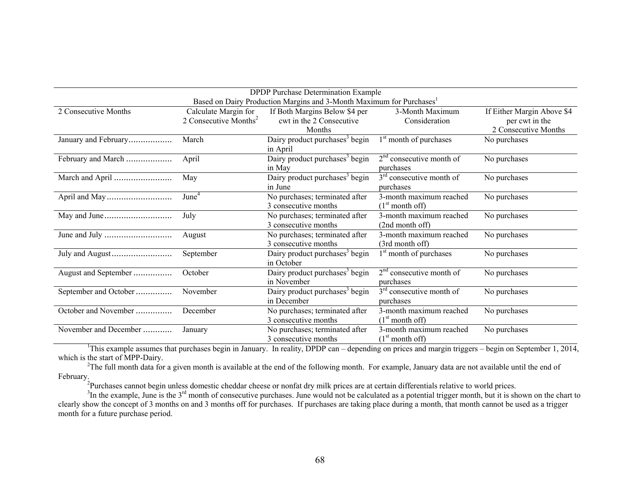| <b>DPDP</b> Purchase Determination Example                                       |                                   |                                            |                                    |                            |  |  |
|----------------------------------------------------------------------------------|-----------------------------------|--------------------------------------------|------------------------------------|----------------------------|--|--|
| Based on Dairy Production Margins and 3-Month Maximum for Purchases <sup>1</sup> |                                   |                                            |                                    |                            |  |  |
| 2 Consecutive Months                                                             | Calculate Margin for              | If Both Margins Below \$4 per              | 3-Month Maximum                    | If Either Margin Above \$4 |  |  |
|                                                                                  | 2 Consecutive Months <sup>2</sup> | cwt in the 2 Consecutive                   | Consideration                      | per cwt in the             |  |  |
|                                                                                  |                                   | Months                                     |                                    | 2 Consecutive Months       |  |  |
| January and February                                                             | March                             | Dairy product purchases <sup>3</sup> begin | 1 <sup>st</sup> month of purchases | No purchases               |  |  |
|                                                                                  |                                   | in April                                   |                                    |                            |  |  |
| February and March                                                               | April                             | Dairy product purchases <sup>3</sup> begin | $2nd$ consecutive month of         | No purchases               |  |  |
|                                                                                  |                                   | in May                                     | purchases                          |                            |  |  |
| March and April                                                                  | May                               | Dairy product purchases <sup>3</sup> begin | $3rd$ consecutive month of         | No purchases               |  |  |
|                                                                                  |                                   | in June                                    | purchases                          |                            |  |  |
|                                                                                  | June <sup>4</sup>                 | No purchases; terminated after             | 3-month maximum reached            | No purchases               |  |  |
|                                                                                  |                                   | 3 consecutive months                       | (1 <sup>st</sup> month off)        |                            |  |  |
|                                                                                  | July                              | No purchases; terminated after             | 3-month maximum reached            | No purchases               |  |  |
|                                                                                  |                                   | 3 consecutive months                       | (2nd month off)                    |                            |  |  |
|                                                                                  | August                            | No purchases; terminated after             | 3-month maximum reached            | No purchases               |  |  |
|                                                                                  |                                   | 3 consecutive months                       | (3rd month off)                    |                            |  |  |
|                                                                                  | September                         | Dairy product purchases <sup>3</sup> begin | 1 <sup>st</sup> month of purchases | No purchases               |  |  |
|                                                                                  |                                   | in October                                 |                                    |                            |  |  |
| August and September                                                             | October                           | Dairy product purchases <sup>3</sup> begin | $2nd$ consecutive month of         | No purchases               |  |  |
|                                                                                  |                                   | in November                                | purchases                          |                            |  |  |
| September and October                                                            | November                          | Dairy product purchases <sup>3</sup> begin | $3rd$ consecutive month of         | No purchases               |  |  |
|                                                                                  |                                   | in December                                | purchases                          |                            |  |  |
| October and November                                                             | December                          | No purchases; terminated after             | 3-month maximum reached            | No purchases               |  |  |
|                                                                                  |                                   | 3 consecutive months                       | (1 <sup>st</sup> month off)        |                            |  |  |
| November and December                                                            | January                           | No purchases; terminated after             | 3-month maximum reached            | No purchases               |  |  |
|                                                                                  |                                   | 3 consecutive months                       | (1 <sup>st</sup> month off)        |                            |  |  |

<sup>1</sup>This example assumes that purchases begin in January. In reality, DPDP can – depending on prices and margin triggers – begin on September 1, 2014, which is the start of MPP-Dairy.

<sup>2</sup>The full month data for a given month is available at the end of the following month. For example, January data are not available until the end of February.

<sup>2</sup>Purchases cannot begin unless domestic cheddar cheese or nonfat dry milk prices are at certain differentials relative to world prices.

 $3$ In the example, June is the  $3<sup>rd</sup>$  month of consecutive purchases. June would not be calculated as a potential trigger month, but it is shown on the chart to clearly show the concept of 3 months on and 3 months off for purchases. If purchases are taking place during a month, that month cannot be used as a trigger month for a future purchase period.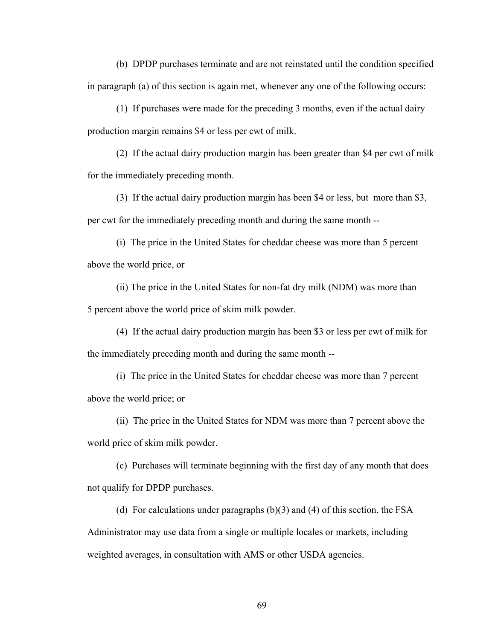(b) DPDP purchases terminate and are not reinstated until the condition specified in paragraph (a) of this section is again met, whenever any one of the following occurs:

(1) If purchases were made for the preceding 3 months, even if the actual dairy production margin remains \$4 or less per cwt of milk.

(2) If the actual dairy production margin has been greater than \$4 per cwt of milk for the immediately preceding month.

(3) If the actual dairy production margin has been \$4 or less, but more than \$3, per cwt for the immediately preceding month and during the same month --

(i) The price in the United States for cheddar cheese was more than 5 percent above the world price, or

(ii) The price in the United States for non-fat dry milk (NDM) was more than 5 percent above the world price of skim milk powder.

(4) If the actual dairy production margin has been \$3 or less per cwt of milk for the immediately preceding month and during the same month --

(i) The price in the United States for cheddar cheese was more than 7 percent above the world price; or

(ii) The price in the United States for NDM was more than 7 percent above the world price of skim milk powder.

 (c) Purchases will terminate beginning with the first day of any month that does not qualify for DPDP purchases.

(d) For calculations under paragraphs (b)(3) and (4) of this section, the FSA Administrator may use data from a single or multiple locales or markets, including weighted averages, in consultation with AMS or other USDA agencies.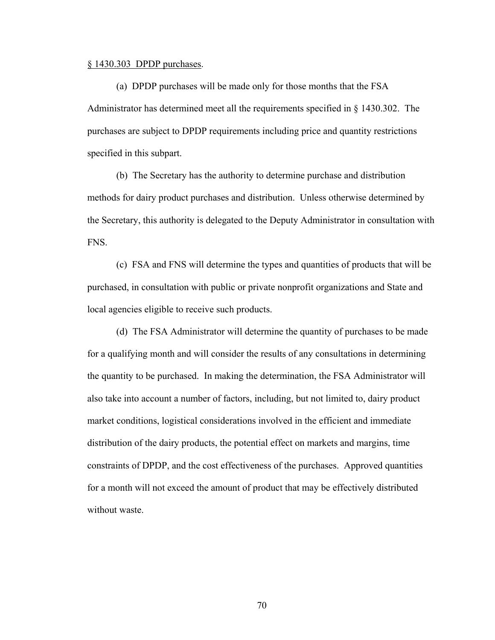# § 1430.303 DPDP purchases.

 (a) DPDP purchases will be made only for those months that the FSA Administrator has determined meet all the requirements specified in § 1430.302. The purchases are subject to DPDP requirements including price and quantity restrictions specified in this subpart.

 (b) The Secretary has the authority to determine purchase and distribution methods for dairy product purchases and distribution. Unless otherwise determined by the Secretary, this authority is delegated to the Deputy Administrator in consultation with FNS.

 (c) FSA and FNS will determine the types and quantities of products that will be purchased, in consultation with public or private nonprofit organizations and State and local agencies eligible to receive such products.

 (d) The FSA Administrator will determine the quantity of purchases to be made for a qualifying month and will consider the results of any consultations in determining the quantity to be purchased. In making the determination, the FSA Administrator will also take into account a number of factors, including, but not limited to, dairy product market conditions, logistical considerations involved in the efficient and immediate distribution of the dairy products, the potential effect on markets and margins, time constraints of DPDP, and the cost effectiveness of the purchases. Approved quantities for a month will not exceed the amount of product that may be effectively distributed without waste.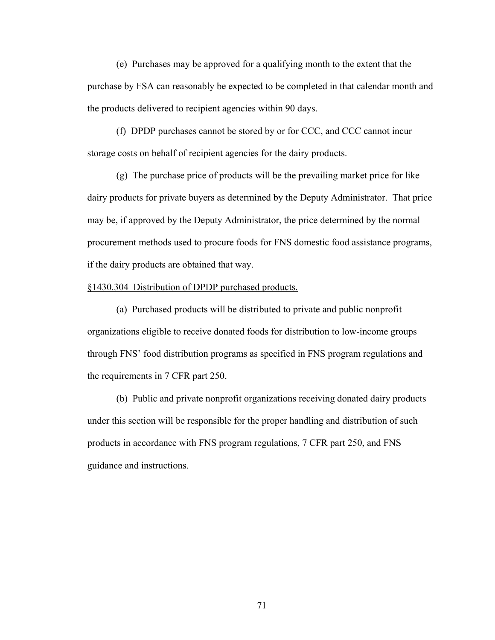(e) Purchases may be approved for a qualifying month to the extent that the purchase by FSA can reasonably be expected to be completed in that calendar month and the products delivered to recipient agencies within 90 days.

 (f) DPDP purchases cannot be stored by or for CCC, and CCC cannot incur storage costs on behalf of recipient agencies for the dairy products.

 (g) The purchase price of products will be the prevailing market price for like dairy products for private buyers as determined by the Deputy Administrator. That price may be, if approved by the Deputy Administrator, the price determined by the normal procurement methods used to procure foods for FNS domestic food assistance programs, if the dairy products are obtained that way.

# §1430.304 Distribution of DPDP purchased products.

 (a) Purchased products will be distributed to private and public nonprofit organizations eligible to receive donated foods for distribution to low-income groups through FNS' food distribution programs as specified in FNS program regulations and the requirements in 7 CFR part 250.

 (b) Public and private nonprofit organizations receiving donated dairy products under this section will be responsible for the proper handling and distribution of such products in accordance with FNS program regulations, 7 CFR part 250, and FNS guidance and instructions.